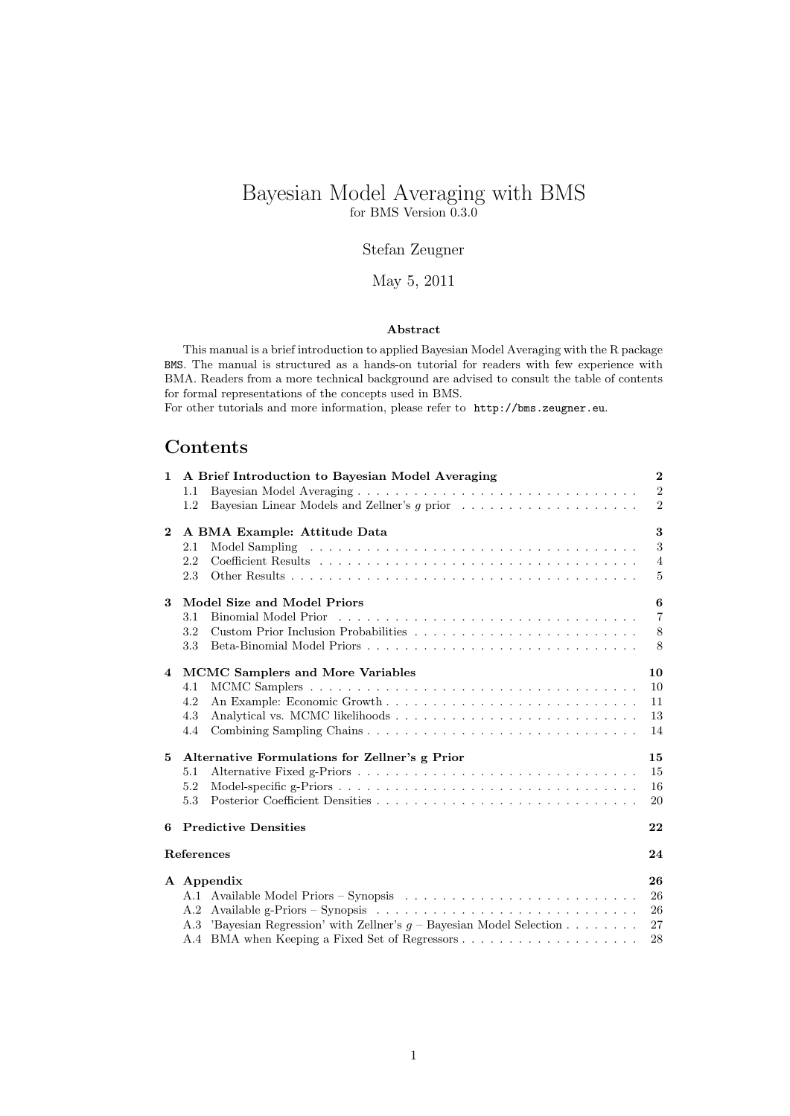# Bayesian Model Averaging with BMS for BMS Version 0.3.0

## Stefan Zeugner

## May 5, 2011

### Abstract

This manual is a brief introduction to applied Bayesian Model Averaging with the R package BMS. The manual is structured as a hands-on tutorial for readers with few experience with BMA. Readers from a more technical background are advised to consult the table of contents for formal representations of the concepts used in BMS.

For other tutorials and more information, please refer to http://bms.zeugner.eu.

# Contents

| $\mathbf{1}$ | A Brief Introduction to Bayesian Model Averaging                                                         | $\mathbf{2}$    |
|--------------|----------------------------------------------------------------------------------------------------------|-----------------|
|              | 1.1                                                                                                      | $\overline{2}$  |
|              | Bayesian Linear Models and Zellner's g prior<br>1.2                                                      | 2               |
| $\bf{2}$     | A BMA Example: Attitude Data                                                                             | 3               |
|              | 2.1                                                                                                      | 3               |
|              | 2.2                                                                                                      | $\overline{4}$  |
|              | 2.3                                                                                                      | 5               |
| 3            | Model Size and Model Priors                                                                              | 6               |
|              | 3.1                                                                                                      | $\overline{7}$  |
|              | 3.2                                                                                                      | 8               |
|              | Beta-Binomial Model Priors<br>3.3                                                                        | 8               |
| 4            | <b>MCMC Samplers and More Variables</b>                                                                  | 10              |
|              | 4.1                                                                                                      | 10 <sup>1</sup> |
|              | 4.2                                                                                                      | 11              |
|              | 4.3                                                                                                      | 13              |
|              | 4.4                                                                                                      | 14              |
|              |                                                                                                          |                 |
| 5            | Alternative Formulations for Zellner's g Prior                                                           | 15              |
|              | 5.1                                                                                                      | 15              |
|              | 5.2                                                                                                      | 16              |
|              | 5.3                                                                                                      | 20              |
| 6.           | <b>Predictive Densities</b>                                                                              | 22              |
|              | References                                                                                               | 24              |
|              |                                                                                                          |                 |
|              | A Appendix                                                                                               | 26              |
|              | A.1 Available Model Priors – Synopsis                                                                    | 26              |
|              | Available g-Priors – Synopsis $\dots \dots \dots \dots \dots \dots \dots \dots \dots \dots \dots$<br>A.2 | 26              |
|              | A.3 'Bayesian Regression' with Zellner's $g$ – Bayesian Model Selection                                  | 27              |
|              |                                                                                                          | 28              |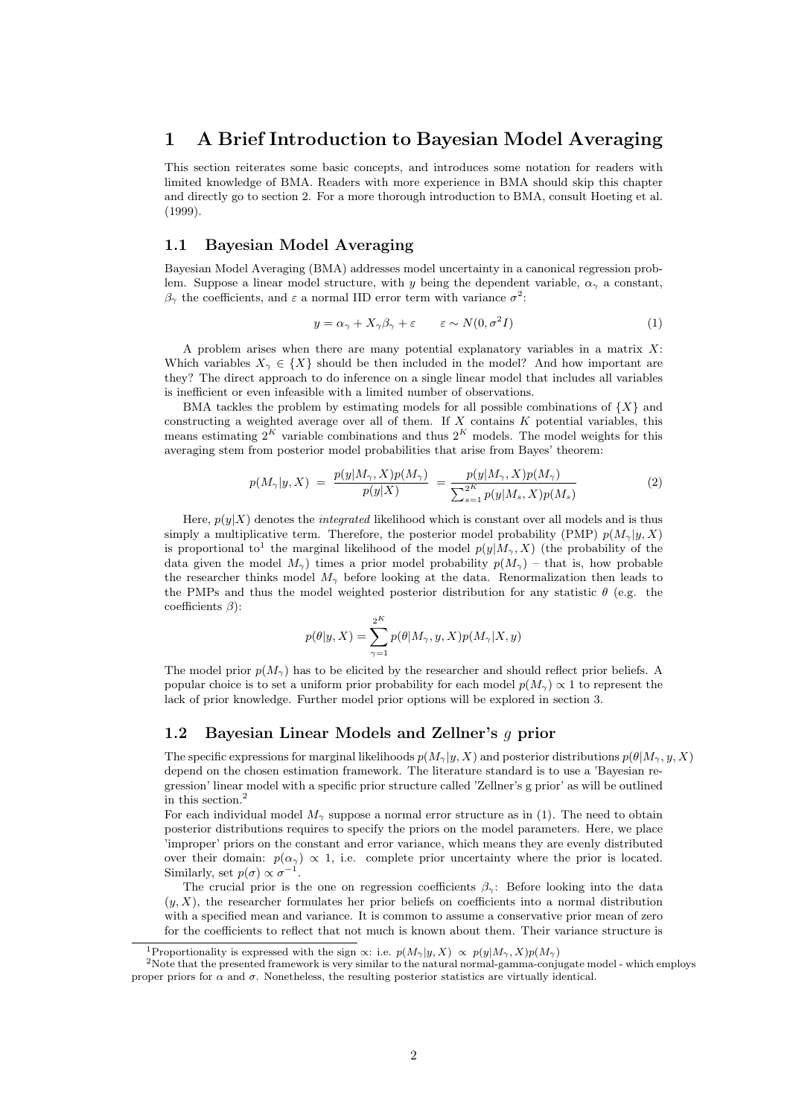## 1 A Brief Introduction to Bayesian Model Averaging

This section reiterates some basic concepts, and introduces some notation for readers with limited knowledge of BMA. Readers with more experience in BMA should skip this chapter and directly go to section 2. For a more thorough introduction to BMA, consult Hoeting et al. (1999).

### 1.1 Bayesian Model Averaging

Bayesian Model Averaging (BMA) addresses model uncertainty in a canonical regression problem. Suppose a linear model structure, with y being the dependent variable,  $\alpha_{\gamma}$  a constant,  $\beta_{\gamma}$  the coefficients, and  $\varepsilon$  a normal IID error term with variance  $\sigma^2$ :

$$
y = \alpha_{\gamma} + X_{\gamma}\beta_{\gamma} + \varepsilon \qquad \varepsilon \sim N(0, \sigma^2 I) \tag{1}
$$

A problem arises when there are many potential explanatory variables in a matrix  $X$ : Which variables  $X_{\gamma} \in \{X\}$  should be then included in the model? And how important are they? The direct approach to do inference on a single linear model that includes all variables is inefficient or even infeasible with a limited number of observations.

BMA tackles the problem by estimating models for all possible combinations of  $\{X\}$  and constructing a weighted average over all of them. If  $X$  contains  $K$  potential variables, this means estimating  $2^K$  variable combinations and thus  $2^K$  models. The model weights for this averaging stem from posterior model probabilities that arise from Bayes' theorem:

$$
p(M_{\gamma}|y, X) = \frac{p(y|M_{\gamma}, X)p(M_{\gamma})}{p(y|X)} = \frac{p(y|M_{\gamma}, X)p(M_{\gamma})}{\sum_{s=1}^{2K} p(y|M_{s}, X)p(M_{s})}
$$
(2)

Here,  $p(y|X)$  denotes the *integrated* likelihood which is constant over all models and is thus simply a multiplicative term. Therefore, the posterior model probability (PMP)  $p(M_{\gamma}|y, X)$ is proportional to<sup>1</sup> the marginal likelihood of the model  $p(y|M_{\gamma}, X)$  (the probability of the data given the model  $M_{\gamma}$ ) times a prior model probability  $p(M_{\gamma})$  – that is, how probable the researcher thinks model  $M_{\gamma}$  before looking at the data. Renormalization then leads to the PMPs and thus the model weighted posterior distribution for any statistic  $\theta$  (e.g. the coefficients  $\beta$ :

$$
p(\theta | y, X) = \sum_{\gamma=1}^{2^K} p(\theta | M_{\gamma}, y, X) p(M_{\gamma} | X, y)
$$

The model prior  $p(M_{\gamma})$  has to be elicited by the researcher and should reflect prior beliefs. A popular choice is to set a uniform prior probability for each model  $p(M<sub>γ</sub>) \propto 1$  to represent the lack of prior knowledge. Further model prior options will be explored in section 3.

### 1.2 Bayesian Linear Models and Zellner's g prior

The specific expressions for marginal likelihoods  $p(M_{\gamma}|y, X)$  and posterior distributions  $p(\theta|M_{\gamma}, y, X)$ depend on the chosen estimation framework. The literature standard is to use a 'Bayesian regression' linear model with a specific prior structure called 'Zellner's g prior' as will be outlined in this section.<sup>2</sup>

For each individual model  $M_{\gamma}$  suppose a normal error structure as in (1). The need to obtain posterior distributions requires to specify the priors on the model parameters. Here, we place 'improper' priors on the constant and error variance, which means they are evenly distributed over their domain:  $p(\alpha_\gamma) \propto 1$ , i.e. complete prior uncertainty where the prior is located. Similarly, set  $p(\sigma) \propto \sigma^{-1}$ .

The crucial prior is the one on regression coefficients  $\beta_{\gamma}$ : Before looking into the data  $(y, X)$ , the researcher formulates her prior beliefs on coefficients into a normal distribution with a specified mean and variance. It is common to assume a conservative prior mean of zero for the coefficients to reflect that not much is known about them. Their variance structure is

<sup>&</sup>lt;sup>1</sup>Proportionality is expressed with the sign  $\propto$ : i.e.  $p(M_{\gamma}|y, X) \propto p(y|M_{\gamma}, X)p(M_{\gamma})$ 

<sup>2</sup>Note that the presented framework is very similar to the natural normal-gamma-conjugate model - which employs proper priors for  $\alpha$  and  $\sigma$ . Nonetheless, the resulting posterior statistics are virtually identical.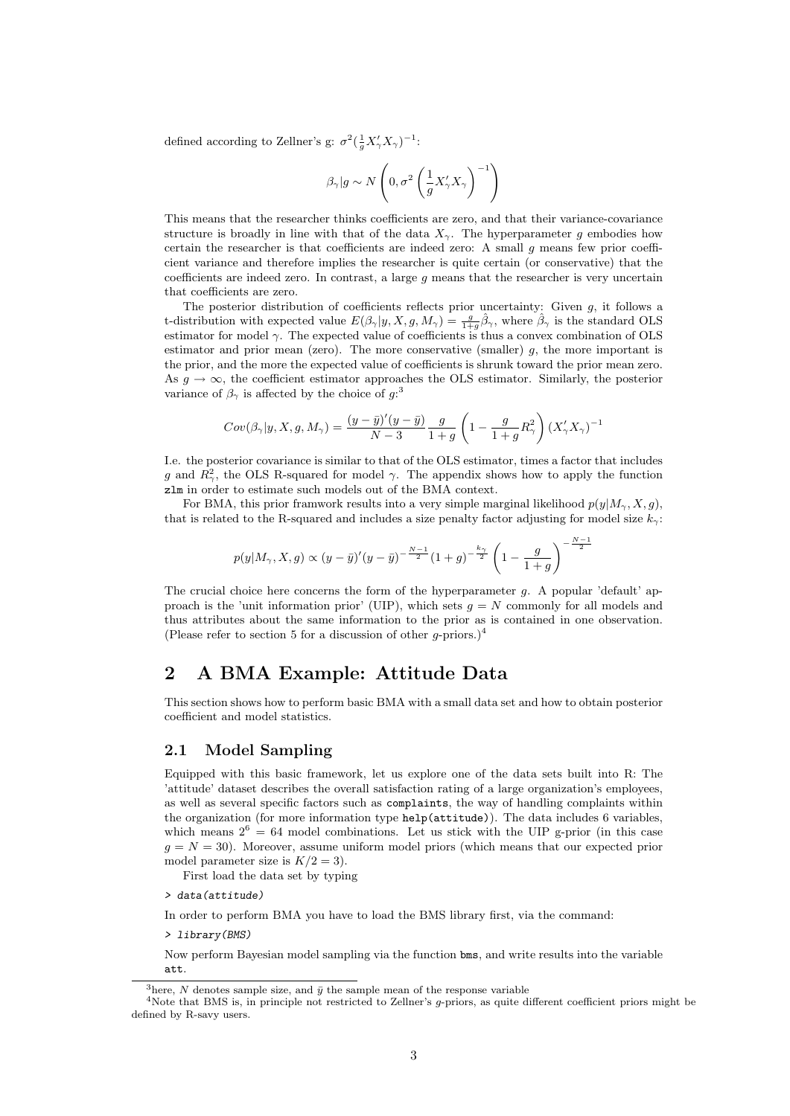defined according to Zellner's g:  $\sigma^2(\frac{1}{g}X'_\gamma X_\gamma)^{-1}$ :

$$
\beta_{\gamma} | g \sim N\left(0, \sigma^2 \left(\frac{1}{g} X'_{\gamma} X_{\gamma}\right)^{-1}\right)
$$

This means that the researcher thinks coefficients are zero, and that their variance-covariance structure is broadly in line with that of the data  $X_{\gamma}$ . The hyperparameter g embodies how certain the researcher is that coefficients are indeed zero: A small g means few prior coefficient variance and therefore implies the researcher is quite certain (or conservative) that the coefficients are indeed zero. In contrast, a large  $g$  means that the researcher is very uncertain that coefficients are zero.

The posterior distribution of coefficients reflects prior uncertainty: Given  $g$ , it follows a t-distribution with expected value  $E(\beta_{\gamma}|y, X, g, M_{\gamma}) = \frac{g}{1+g}\hat{\beta}_{\gamma}$ , where  $\hat{\beta}_{\gamma}$  is the standard OLS estimator for model  $\gamma$ . The expected value of coefficients is thus a convex combination of OLS estimator and prior mean (zero). The more conservative (smaller)  $g$ , the more important is the prior, and the more the expected value of coefficients is shrunk toward the prior mean zero. As  $g \to \infty$ , the coefficient estimator approaches the OLS estimator. Similarly, the posterior variance of  $\beta_{\gamma}$  is affected by the choice of  $g$ :<sup>3</sup>

$$
Cov(\beta_{\gamma}|y, X, g, M_{\gamma}) = \frac{(y-\bar{y})'(y-\bar{y})}{N-3} \frac{g}{1+g} \left(1 - \frac{g}{1+g}R_{\gamma}^{2}\right) (X'_{\gamma}X_{\gamma})^{-1}
$$

I.e. the posterior covariance is similar to that of the OLS estimator, times a factor that includes g and  $R_{\gamma}^2$ , the OLS R-squared for model  $\gamma$ . The appendix shows how to apply the function zlm in order to estimate such models out of the BMA context.

For BMA, this prior framwork results into a very simple marginal likelihood  $p(y|M_{\gamma}, X, g)$ , that is related to the R-squared and includes a size penalty factor adjusting for model size  $k_{\gamma}$ :

$$
p(y|M_{\gamma}, X, g) \propto (y - \bar{y})'(y - \bar{y})^{-\frac{N-1}{2}} (1 + g)^{-\frac{k_{\gamma}}{2}} \left(1 - \frac{g}{1 + g}\right)^{-\frac{N-1}{2}}
$$

The crucial choice here concerns the form of the hyperparameter g. A popular 'default' approach is the 'unit information prior' (UIP), which sets  $g = N$  commonly for all models and thus attributes about the same information to the prior as is contained in one observation. (Please refer to section 5 for a discussion of other g-priors.)<sup>4</sup>

# 2 A BMA Example: Attitude Data

This section shows how to perform basic BMA with a small data set and how to obtain posterior coefficient and model statistics.

### 2.1 Model Sampling

Equipped with this basic framework, let us explore one of the data sets built into R: The 'attitude' dataset describes the overall satisfaction rating of a large organization's employees, as well as several specific factors such as complaints, the way of handling complaints within the organization (for more information type help(attitude)). The data includes 6 variables, which means  $2^6 = 64$  model combinations. Let us stick with the UIP g-prior (in this case  $g = N = 30$ . Moreover, assume uniform model priors (which means that our expected prior model parameter size is  $K/2 = 3$ .

First load the data set by typing

> data(attitude)

In order to perform BMA you have to load the BMS library first, via the command:

> library(BMS)

Now perform Bayesian model sampling via the function bms, and write results into the variable att.

<sup>&</sup>lt;sup>3</sup>here, N denotes sample size, and  $\bar{y}$  the sample mean of the response variable

<sup>4</sup>Note that BMS is, in principle not restricted to Zellner's g-priors, as quite different coefficient priors might be defined by R-savy users.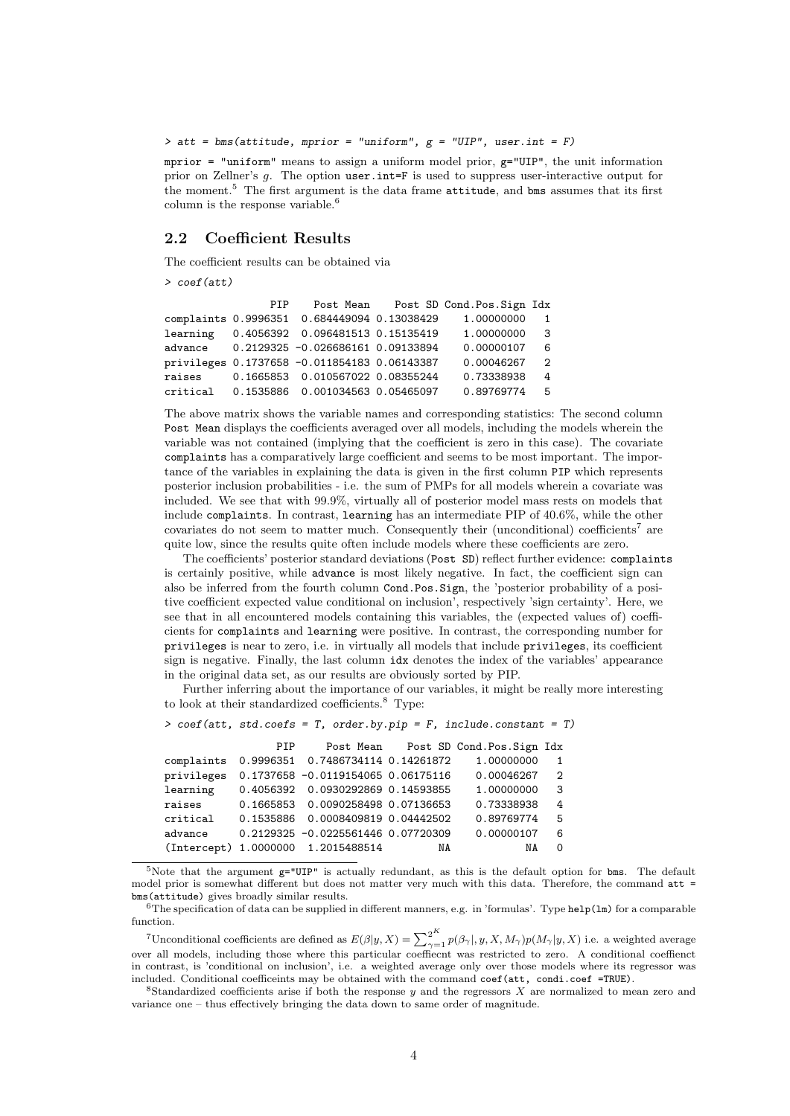$\geq$  att = bms(attitude, mprior = "uniform",  $g = "UIP", user.int = F$ )

mprior  $=$  "uniform" means to assign a uniform model prior,  $g=$ "UIP", the unit information prior on Zellner's g. The option user.int=F is used to suppress user-interactive output for the moment.<sup>5</sup> The first argument is the data frame  $\text{attitude}$ , and bms assumes that its first column is the response variable.<sup>6</sup>

### 2.2 Coefficient Results

The coefficient results can be obtained via

> coef(att)

|          | PTP |                                              | Post Mean Post SD Cond. Pos. Sign Idx |                |
|----------|-----|----------------------------------------------|---------------------------------------|----------------|
|          |     | complaints 0.9996351 0.684449094 0.13038429  | 1.00000000                            |                |
| learning |     | 0.4056392  0.096481513  0.15135419           | 1.00000000                            | - 3            |
| advance  |     | 0.2129325 -0.026686161 0.09133894            | 0.00000107                            | - 6            |
|          |     | privileges 0.1737658 -0.011854183 0.06143387 | 0.00046267                            | $\overline{2}$ |
| raises   |     | 0.1665853 0.010567022 0.08355244             | 0.73338938                            | $\frac{4}{3}$  |
|          |     | critical 0.1535886 0.001034563 0.05465097    | 0.89769774                            | - 5            |

The above matrix shows the variable names and corresponding statistics: The second column Post Mean displays the coefficients averaged over all models, including the models wherein the variable was not contained (implying that the coefficient is zero in this case). The covariate complaints has a comparatively large coefficient and seems to be most important. The importance of the variables in explaining the data is given in the first column PIP which represents posterior inclusion probabilities - i.e. the sum of PMPs for all models wherein a covariate was included. We see that with 99.9%, virtually all of posterior model mass rests on models that include complaints. In contrast, learning has an intermediate PIP of 40.6%, while the other covariates do not seem to matter much. Consequently their (unconditional) coefficients<sup>7</sup> are quite low, since the results quite often include models where these coefficients are zero.

The coefficients' posterior standard deviations (Post SD) reflect further evidence: complaints is certainly positive, while advance is most likely negative. In fact, the coefficient sign can also be inferred from the fourth column Cond.Pos.Sign, the 'posterior probability of a positive coefficient expected value conditional on inclusion', respectively 'sign certainty'. Here, we see that in all encountered models containing this variables, the (expected values of) coefficients for complaints and learning were positive. In contrast, the corresponding number for privileges is near to zero, i.e. in virtually all models that include privileges, its coefficient sign is negative. Finally, the last column idx denotes the index of the variables' appearance in the original data set, as our results are obviously sorted by PIP.

Further inferring about the importance of our variables, it might be really more interesting to look at their standardized coefficients.<sup>8</sup> Type:

```
> coef(att, std.coefs = T, order.by.pip = F, include.constant = T)
```

|            | PIP |                                              |    | Post Mean Post SD Cond.Pos.Sign Idx |                |
|------------|-----|----------------------------------------------|----|-------------------------------------|----------------|
|            |     | complaints 0.9996351 0.7486734114 0.14261872 |    | 1.00000000                          | 1              |
| privileges |     | 0.1737658 -0.0119154065 0.06175116           |    | 0.00046267                          | $\overline{2}$ |
| learning   |     | 0.4056392 0.0930292869 0.14593855            |    | 1.00000000                          | -3             |
| raises     |     | 0.1665853 0.0090258498 0.07136653            |    | 0.73338938                          | 4              |
| critical   |     | 0.1535886  0.0008409819  0.04442502          |    | 0.89769774                          | - 5            |
| advance    |     | 0.2129325 -0.0225561446 0.07720309           |    | 0.00000107                          | - 6            |
|            |     | (Intercept) 1.0000000 1.2015488514           | NA | NA                                  | $\Omega$       |

<sup>5</sup>Note that the argument  $g="UP"$  is actually redundant, as this is the default option for bms. The default model prior is somewhat different but does not matter very much with this data. Therefore, the command att = bms(attitude) gives broadly similar results.

 $6$ The specification of data can be supplied in different manners, e.g. in 'formulas'. Type help(1m) for a comparable function.

<sup>7</sup>Unconditional coefficients are defined as  $E(\beta|y, X) = \sum_{\gamma=1}^{2^K} p(\beta_\gamma|, y, X, M_\gamma)p(M_\gamma|y, X)$  i.e. a weighted average over all models, including those where this particular coeffiecnt was restricted to zero. A conditional coeffienct in contrast, is 'conditional on inclusion', i.e. a weighted average only over those models where its regressor was included. Conditional coefficeints may be obtained with the command coef(att, condi.coef =TRUE).

 $8$ Standardized coefficients arise if both the response y and the regressors X are normalized to mean zero and variance one – thus effectively bringing the data down to same order of magnitude.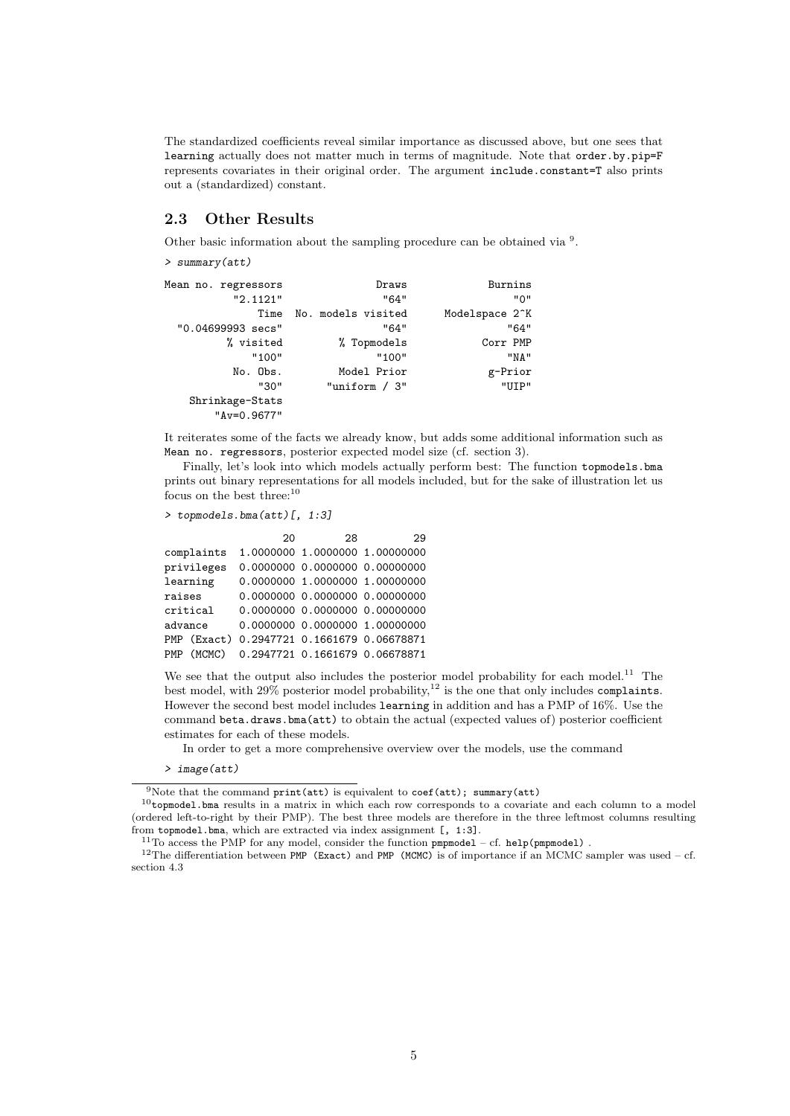The standardized coefficients reveal similar importance as discussed above, but one sees that learning actually does not matter much in terms of magnitude. Note that order.by.pip=F represents covariates in their original order. The argument include.constant=T also prints out a (standardized) constant.

### 2.3 Other Results

Other basic information about the sampling procedure can be obtained via  $^9$ .

> summary(att)

| Mean no. regressors<br>"2.1121"  | Draws<br>"64"      | Burnins<br>" 0"             |
|----------------------------------|--------------------|-----------------------------|
| Time                             | No. models visited | Modelspace 2 <sup>-</sup> K |
| "0.04699993 secs"                | "64"               | "64"                        |
| % visited                        | % Topmodels        | Corr PMP                    |
| "100"                            | "100"              | "NA"                        |
| No. Obs.                         | Model Prior        | g-Prior                     |
| "30"                             | "uniform $/ 3$ "   | "UTP"                       |
| Shrinkage-Stats<br>$"Av=0.9677"$ |                    |                             |

It reiterates some of the facts we already know, but adds some additional information such as Mean no. regressors, posterior expected model size (cf. section 3).

Finally, let's look into which models actually perform best: The function topmodels.bma prints out binary representations for all models included, but for the sake of illustration let us focus on the best three:<sup>10</sup>

```
> topmodels.bma(att)[, 1:3]
```

|            |             | 20 | 28 | 29                             |
|------------|-------------|----|----|--------------------------------|
|            | complaints  |    |    | 1.0000000 1.0000000 1.00000000 |
|            | privileges  |    |    | 0.0000000 0.0000000 0.00000000 |
|            | learning    |    |    | 0.0000000 1.0000000 1.00000000 |
| raises     |             |    |    | 0.0000000 0.0000000 0.00000000 |
|            | critical    |    |    | 0.0000000 0.0000000 0.00000000 |
| advance    |             |    |    | 0.0000000 0.0000000 1.00000000 |
|            | PMP (Exact) |    |    | 0.2947721 0.1661679 0.06678871 |
| <b>PMP</b> | (MCMC)      |    |    | 0.2947721 0.1661679 0.06678871 |

We see that the output also includes the posterior model probability for each model.<sup>11</sup> The best model, with  $29\%$  posterior model probability,<sup>12</sup> is the one that only includes complaints. However the second best model includes learning in addition and has a PMP of 16%. Use the command beta.draws.bma(att) to obtain the actual (expected values of) posterior coefficient estimates for each of these models.

In order to get a more comprehensive overview over the models, use the command

> image(att)

<sup>&</sup>lt;sup>9</sup>Note that the command print(att) is equivalent to coef(att); summary(att)

 $10$ topmodel.bma results in a matrix in which each row corresponds to a covariate and each column to a model (ordered left-to-right by their PMP). The best three models are therefore in the three leftmost columns resulting from topmodel.bma, which are extracted via index assignment [, 1:3].

<sup>&</sup>lt;sup>11</sup>To access the PMP for any model, consider the function  $pmpmodel - cf. help (pmpmodel)$ .

 $12$ The differentiation between PMP (Exact) and PMP (MCMC) is of importance if an MCMC sampler was used – cf. section 4.3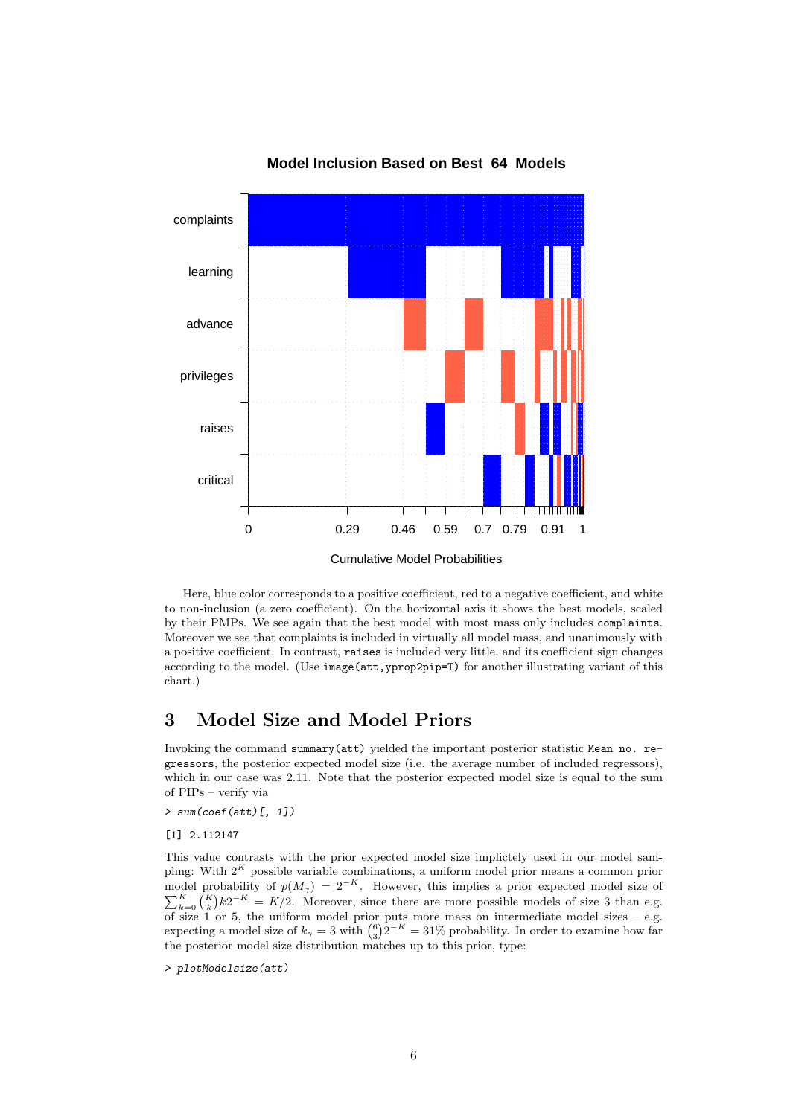

### **Model Inclusion Based on Best 64 Models**

Here, blue color corresponds to a positive coefficient, red to a negative coefficient, and white to non-inclusion (a zero coefficient). On the horizontal axis it shows the best models, scaled by their PMPs. We see again that the best model with most mass only includes complaints. Moreover we see that complaints is included in virtually all model mass, and unanimously with a positive coefficient. In contrast, raises is included very little, and its coefficient sign changes according to the model. (Use image(att,yprop2pip=T) for another illustrating variant of this chart.)

## 3 Model Size and Model Priors

Invoking the command summary(att) yielded the important posterior statistic Mean no. regressors, the posterior expected model size (i.e. the average number of included regressors), which in our case was 2.11. Note that the posterior expected model size is equal to the sum of PIPs – verify via

> sum(coef(att)[, 1])

[1] 2.112147

This value contrasts with the prior expected model size implictely used in our model sampling: With  $2<sup>K</sup>$  possible variable combinations, a uniform model prior means a common prior model probability of  $p(M_{\gamma}) = 2^{-K}$ P del probability of  $p(M_{\gamma}) = 2^{-K}$ . However, this implies a prior expected model size of  $\binom{K}{k}k2^{-K} = K/2$ . Moreover, since there are more possible models of size 3 than e.g. of size 1 or 5, the uniform model prior puts more mass on intermediate model sizes – e.g. expecting a model size of  $k_{\gamma} = 3$  with  $\binom{6}{3} 2^{-K} = 31\%$  probability. In order to examine how far the posterior model size distribution matches up to this prior, type:

> plotModelsize(att)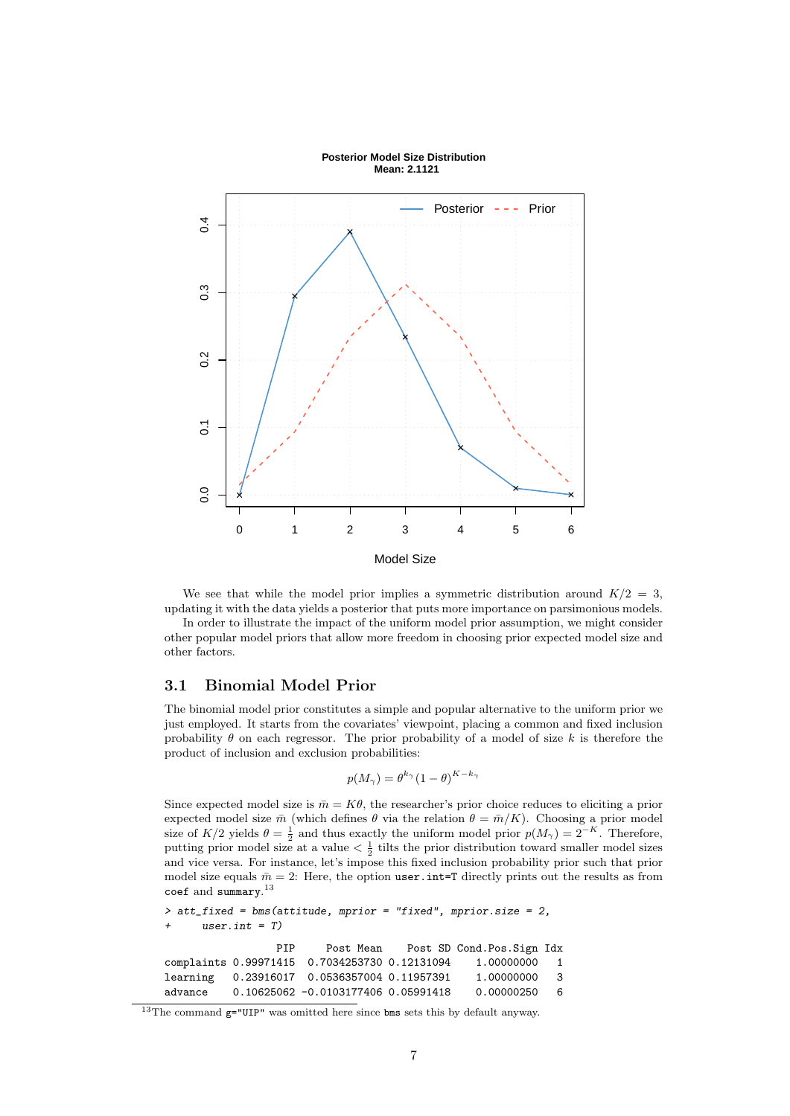

#### **Posterior Model Size Distribution Mean: 2.1121**



In order to illustrate the impact of the uniform model prior assumption, we might consider other popular model priors that allow more freedom in choosing prior expected model size and other factors.

### 3.1 Binomial Model Prior

The binomial model prior constitutes a simple and popular alternative to the uniform prior we just employed. It starts from the covariates' viewpoint, placing a common and fixed inclusion probability  $\theta$  on each regressor. The prior probability of a model of size k is therefore the product of inclusion and exclusion probabilities:

$$
p(M_{\gamma}) = \theta^{k_{\gamma}} (1 - \theta)^{K - k_{\gamma}}
$$

Since expected model size is  $\bar{m} = K\theta$ , the researcher's prior choice reduces to eliciting a prior expected model size  $\bar{m}$  (which defines  $\theta$  via the relation  $\theta = \bar{m}/K$ ). Choosing a prior model size of  $K/2$  yields  $\theta = \frac{1}{2}$  and thus exactly the uniform model prior  $p(M_{\gamma}) = 2^{-K}$ . Therefore, putting prior model size at a value  $\langle \frac{1}{2} \rangle$  tilts the prior distribution toward smaller model sizes and vice versa. For instance, let's impose this fixed inclusion probability prior such that prior model size equals  $\bar{m} = 2$ : Here, the option user. int=T directly prints out the results as from coef and  $\texttt{summary}.^{13}$ 

```
> att_fixed = bms(attitude, mprior = "fixed", mprior.size = 2,
     user.int = T)PIP Post Mean Post SD Cond.Pos.Sign Idx
complaints 0.99971415 0.7034253730 0.12131094 1.00000000 1
learning 0.23916017 0.0536357004 0.11957391 1.00000000 3
advance 0.10625062 -0.0103177406 0.05991418 0.00000250 6
```
<sup>&</sup>lt;sup>13</sup>The command  $g=$ "UIP" was omitted here since bms sets this by default anyway.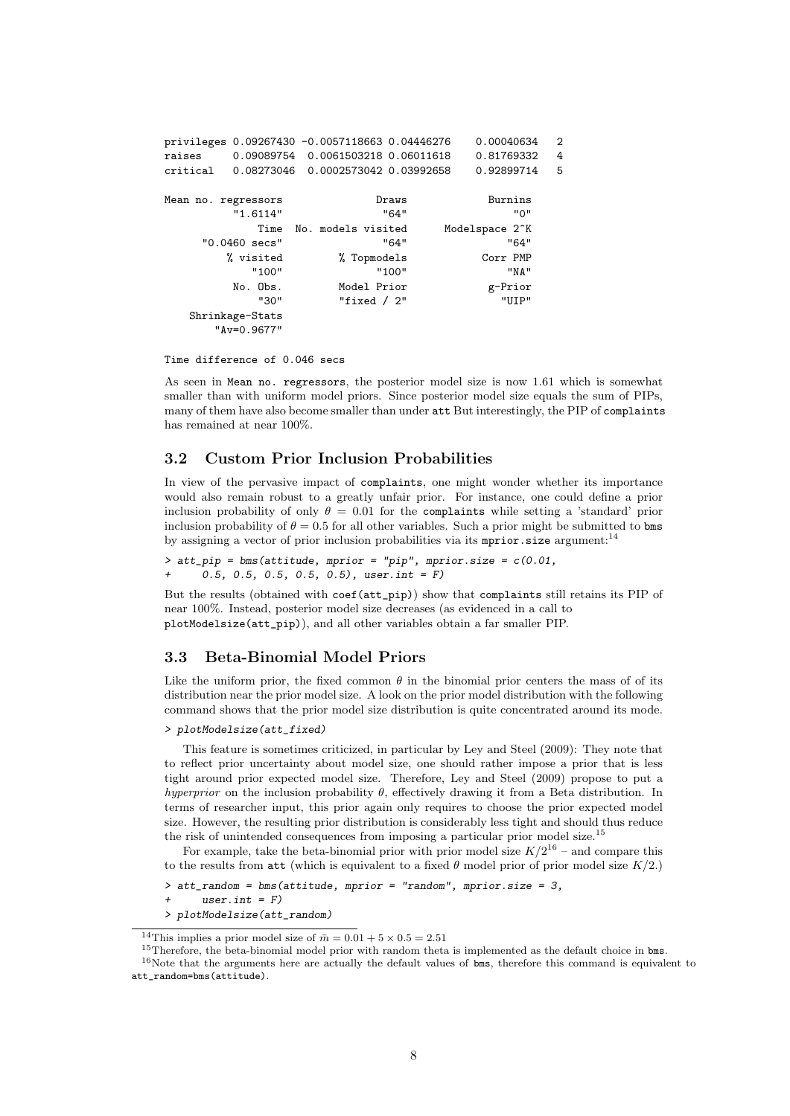|                     |                                | privileges 0.09267430 -0.0057118663 0.04446276 |       | 0.00040634                  | $\overline{2}$ |
|---------------------|--------------------------------|------------------------------------------------|-------|-----------------------------|----------------|
| raises              |                                | 0.09089754  0.0061503218  0.06011618           |       | 0.81769332                  | 4              |
| critical            |                                |                                                |       | 0.92899714                  | 5              |
| Mean no. regressors |                                |                                                | Draws | Burnins                     |                |
|                     | "1.6114"                       |                                                | "64"  | "ט"                         |                |
|                     |                                | Time No. models visited                        |       | Modelspace 2 <sup>o</sup> K |                |
|                     | "0.0460 secs"                  |                                                | "64"  | "64"                        |                |
|                     | % visited                      | % Topmodels                                    |       | Corr PMP                    |                |
|                     | "100"                          |                                                | "100" | "NA"                        |                |
|                     | No. Obs.                       | Model Prior                                    |       | g-Prior                     |                |
|                     | "30"                           | "fixed $/2$ "                                  |       | "UITP"                      |                |
|                     | Shrinkage-Stats<br>"Av=0.9677" |                                                |       |                             |                |

Time difference of 0.046 secs

As seen in Mean no. regressors, the posterior model size is now 1.61 which is somewhat smaller than with uniform model priors. Since posterior model size equals the sum of PIPs, many of them have also become smaller than under att But interestingly, the PIP of complaints has remained at near 100%.

### 3.2 Custom Prior Inclusion Probabilities

In view of the pervasive impact of complaints, one might wonder whether its importance would also remain robust to a greatly unfair prior. For instance, one could define a prior inclusion probability of only  $\theta = 0.01$  for the complaints while setting a 'standard' prior inclusion probability of  $\theta = 0.5$  for all other variables. Such a prior might be submitted to both by assigning a vector of prior inclusion probabilities via its **mprior**.size argument:<sup>14</sup>

> att\_pip = bms(attitude, mprior = "pip", mprior.size = c(0.01, + 0.5, 0.5, 0.5, 0.5, 0.5), user.int = F)

But the results (obtained with coef(att\_pip)) show that complaints still retains its PIP of near 100%. Instead, posterior model size decreases (as evidenced in a call to plotModelsize(att\_pip)), and all other variables obtain a far smaller PIP.

### 3.3 Beta-Binomial Model Priors

Like the uniform prior, the fixed common  $\theta$  in the binomial prior centers the mass of of its distribution near the prior model size. A look on the prior model distribution with the following command shows that the prior model size distribution is quite concentrated around its mode.

### > plotModelsize(att\_fixed)

This feature is sometimes criticized, in particular by Ley and Steel (2009): They note that to reflect prior uncertainty about model size, one should rather impose a prior that is less tight around prior expected model size. Therefore, Ley and Steel (2009) propose to put a hyperprior on the inclusion probability  $\theta$ , effectively drawing it from a Beta distribution. In terms of researcher input, this prior again only requires to choose the prior expected model size. However, the resulting prior distribution is considerably less tight and should thus reduce the risk of unintended consequences from imposing a particular prior model size.<sup>15</sup>

For example, take the beta-binomial prior with prior model size  $K/2^{16}$  – and compare this to the results from att (which is equivalent to a fixed  $\theta$  model prior of prior model size  $K/2$ .)

<sup>&</sup>gt; att\_random = bms(attitude, mprior = "random", mprior.size = 3,

<sup>+</sup> user.int = F)

<sup>&</sup>gt; plotModelsize(att\_random)

<sup>&</sup>lt;sup>14</sup>This implies a prior model size of  $\bar{m} = 0.01 + 5 \times 0.5 = 2.51$ 

<sup>&</sup>lt;sup>15</sup>Therefore, the beta-binomial model prior with random theta is implemented as the default choice in bms.

<sup>&</sup>lt;sup>16</sup>Note that the arguments here are actually the default values of bms, therefore this command is equivalent to att random=bms(attitude).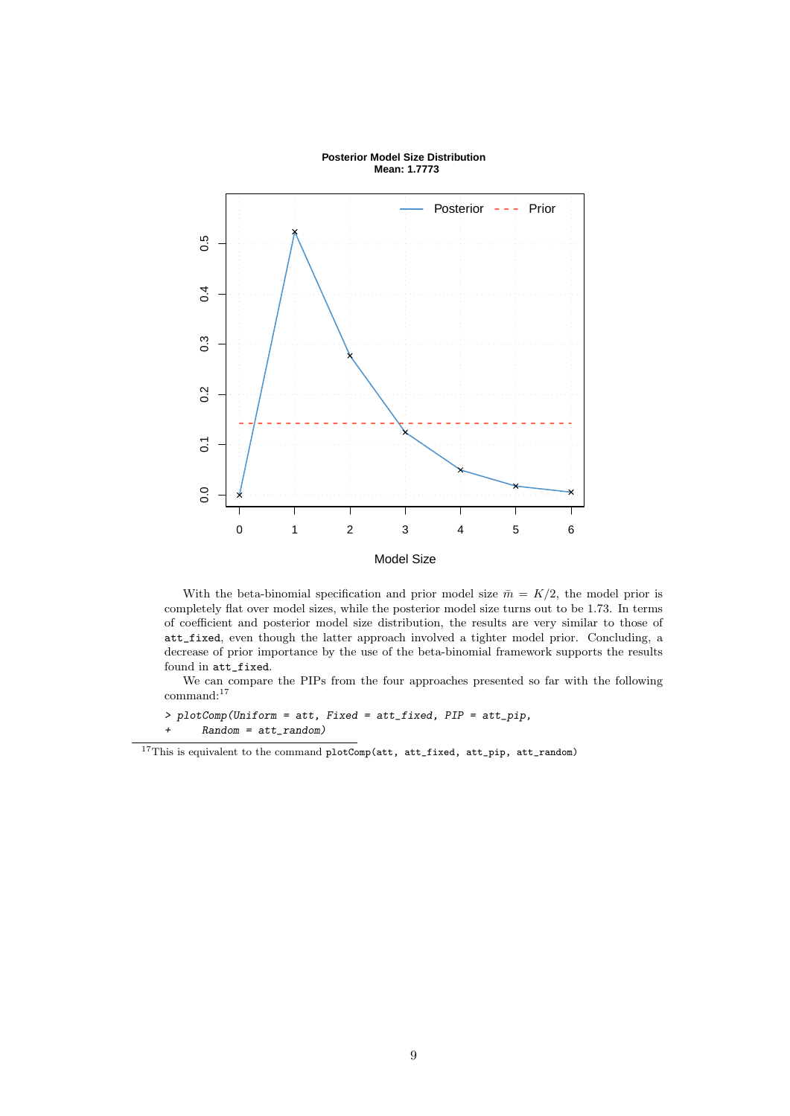

#### **Posterior Model Size Distribution Mean: 1.7773**

With the beta-binomial specification and prior model size  $\bar{m} = K/2$ , the model prior is completely flat over model sizes, while the posterior model size turns out to be 1.73. In terms of coefficient and posterior model size distribution, the results are very similar to those of att\_fixed, even though the latter approach involved a tighter model prior. Concluding, a decrease of prior importance by the use of the beta-binomial framework supports the results found in att\_fixed.

We can compare the PIPs from the four approaches presented so far with the following command:<sup>17</sup>

```
> plotComp(Uniform = att, Fixed = att_fixed, PIP = att_pip,
+ Random = att_random)
```
 $^{17}{\rm This}$  is equivalent to the command plotComp(att, att\_fixed, att\_pip, att\_random)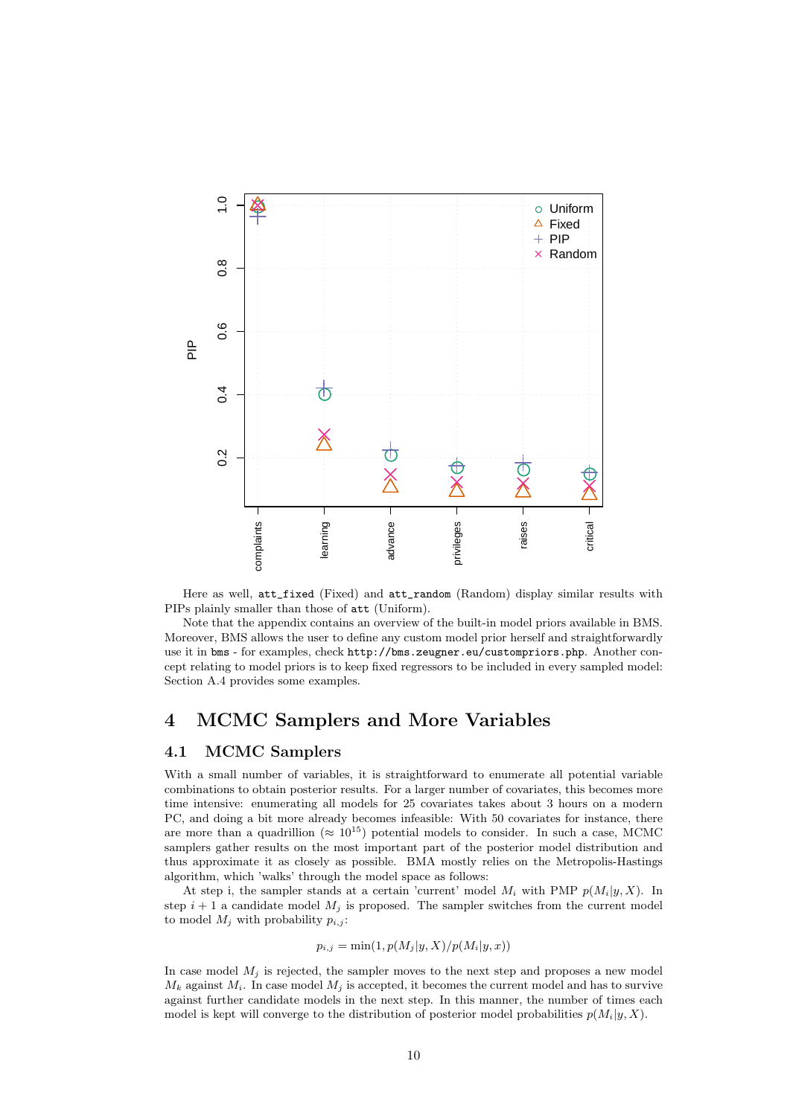

Here as well, att\_fixed (Fixed) and att\_random (Random) display similar results with PIPs plainly smaller than those of att (Uniform).

Note that the appendix contains an overview of the built-in model priors available in BMS. Moreover, BMS allows the user to define any custom model prior herself and straightforwardly use it in bms - for examples, check http://bms.zeugner.eu/custompriors.php. Another concept relating to model priors is to keep fixed regressors to be included in every sampled model: Section A.4 provides some examples.

## 4 MCMC Samplers and More Variables

### 4.1 MCMC Samplers

With a small number of variables, it is straightforward to enumerate all potential variable combinations to obtain posterior results. For a larger number of covariates, this becomes more time intensive: enumerating all models for 25 covariates takes about 3 hours on a modern PC, and doing a bit more already becomes infeasible: With 50 covariates for instance, there are more than a quadrillion ( $\approx 10^{15}$ ) potential models to consider. In such a case, MCMC samplers gather results on the most important part of the posterior model distribution and thus approximate it as closely as possible. BMA mostly relies on the Metropolis-Hastings algorithm, which 'walks' through the model space as follows:

At step i, the sampler stands at a certain 'current' model  $M_i$  with PMP  $p(M_i|y, X)$ . In step  $i + 1$  a candidate model  $M_i$  is proposed. The sampler switches from the current model to model  $M_j$  with probability  $p_{i,j}$ :

$$
p_{i,j} = \min(1, p(M_j|y, X)/p(M_i|y, x))
$$

In case model  $M_j$  is rejected, the sampler moves to the next step and proposes a new model  $M_k$  against  $M_i$ . In case model  $M_i$  is accepted, it becomes the current model and has to survive against further candidate models in the next step. In this manner, the number of times each model is kept will converge to the distribution of posterior model probabilities  $p(M_i|y, X)$ .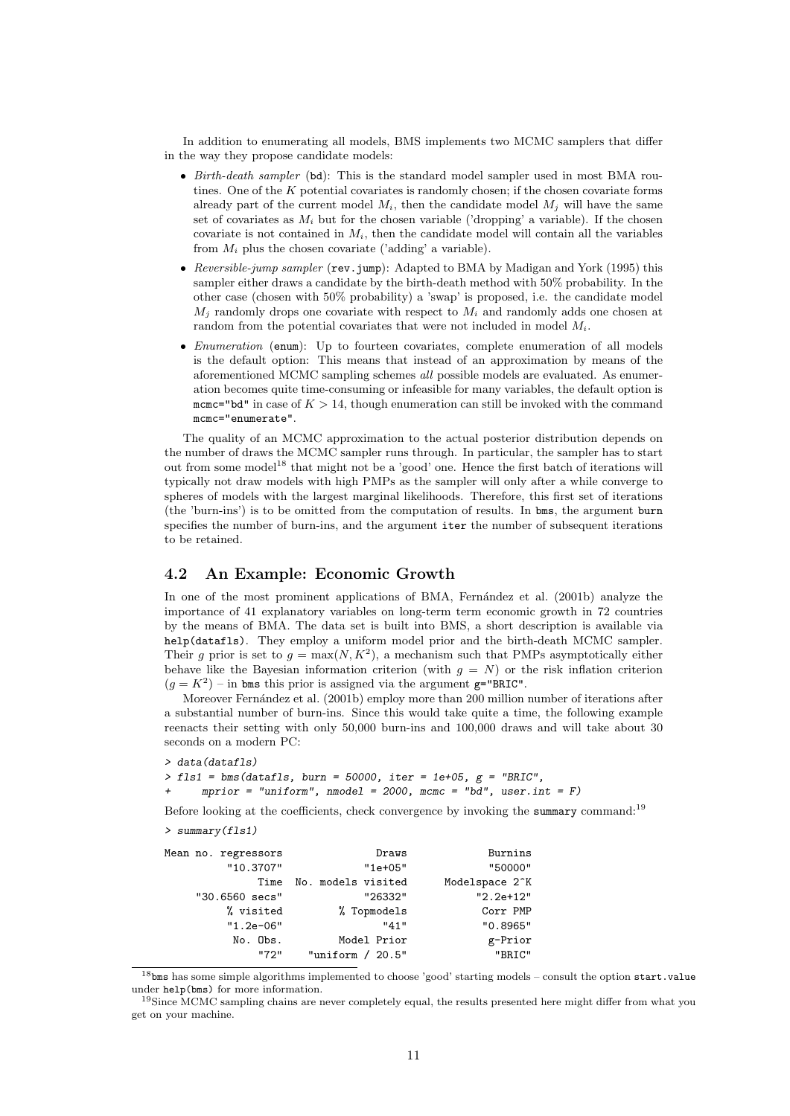In addition to enumerating all models, BMS implements two MCMC samplers that differ in the way they propose candidate models:

- Birth-death sampler (bd): This is the standard model sampler used in most BMA routines. One of the  $K$  potential covariates is randomly chosen; if the chosen covariate forms already part of the current model  $M_i$ , then the candidate model  $M_i$  will have the same set of covariates as  $M_i$  but for the chosen variable ('dropping' a variable). If the chosen covariate is not contained in  $M_i$ , then the candidate model will contain all the variables from  $M_i$  plus the chosen covariate ('adding' a variable).
- Reversible-jump sampler (rev.jump): Adapted to BMA by Madigan and York (1995) this sampler either draws a candidate by the birth-death method with 50% probability. In the other case (chosen with 50% probability) a 'swap' is proposed, i.e. the candidate model  $M_j$  randomly drops one covariate with respect to  $M_i$  and randomly adds one chosen at random from the potential covariates that were not included in model  $M_i$ .
- *Enumeration* (enum): Up to fourteen covariates, complete enumeration of all models is the default option: This means that instead of an approximation by means of the aforementioned MCMC sampling schemes all possible models are evaluated. As enumeration becomes quite time-consuming or infeasible for many variables, the default option is mcmc="bd" in case of  $K > 14$ , though enumeration can still be invoked with the command mcmc="enumerate".

The quality of an MCMC approximation to the actual posterior distribution depends on the number of draws the MCMC sampler runs through. In particular, the sampler has to start out from some model<sup>18</sup> that might not be a 'good' one. Hence the first batch of iterations will typically not draw models with high PMPs as the sampler will only after a while converge to spheres of models with the largest marginal likelihoods. Therefore, this first set of iterations (the 'burn-ins') is to be omitted from the computation of results. In bms, the argument burn specifies the number of burn-ins, and the argument iter the number of subsequent iterations to be retained.

### 4.2 An Example: Economic Growth

In one of the most prominent applications of BMA, Fernández et al. (2001b) analyze the importance of 41 explanatory variables on long-term term economic growth in 72 countries by the means of BMA. The data set is built into BMS, a short description is available via help(datafls). They employ a uniform model prior and the birth-death MCMC sampler. Their g prior is set to  $g = \max(N, K^2)$ , a mechanism such that PMPs asymptotically either behave like the Bayesian information criterion (with  $g = N$ ) or the risk inflation criterion  $(g = K^2)$  – in bms this prior is assigned via the argument g="BRIC".

Moreover Fernández et al. (2001b) employ more than 200 million number of iterations after a substantial number of burn-ins. Since this would take quite a time, the following example reenacts their setting with only 50,000 burn-ins and 100,000 draws and will take about 30 seconds on a modern PC:

```
> data(datafls)
```
 $>$  fls1 = bms(datafls, burn = 50000, iter = 1e+05,  $g$  = "BRIC",

 $mprior = "uniform", \text{mmodel} = 2000, \text{mmc} = "bd", user.int = F)$ 

Before looking at the coefficients, check convergence by invoking the summary command:<sup>19</sup>

> summary(fls1)

| Mean no. regressors | Draws              | Burnins                     |
|---------------------|--------------------|-----------------------------|
| "10.3707"           | $"1e+05"$          | "50000"                     |
| Time                | No. models visited | Modelspace 2 <sup>o</sup> K |
| "30.6560 secs"      | "26332"            | $"2.2e+12"$                 |
| % visited           | % Topmodels        | Corr PMP                    |
| $"1.2e-06"$         | "41"               | "0.8965"                    |
| No. Obs.            | Model Prior        | g-Prior                     |
| "72"                | "uniform $/20.5"$  | "BRIC"                      |

<sup>&</sup>lt;sup>18</sup>bms has some simple algorithms implemented to choose 'good' starting models – consult the option start.value under help(bms) for more information.

<sup>19</sup>Since MCMC sampling chains are never completely equal, the results presented here might differ from what you get on your machine.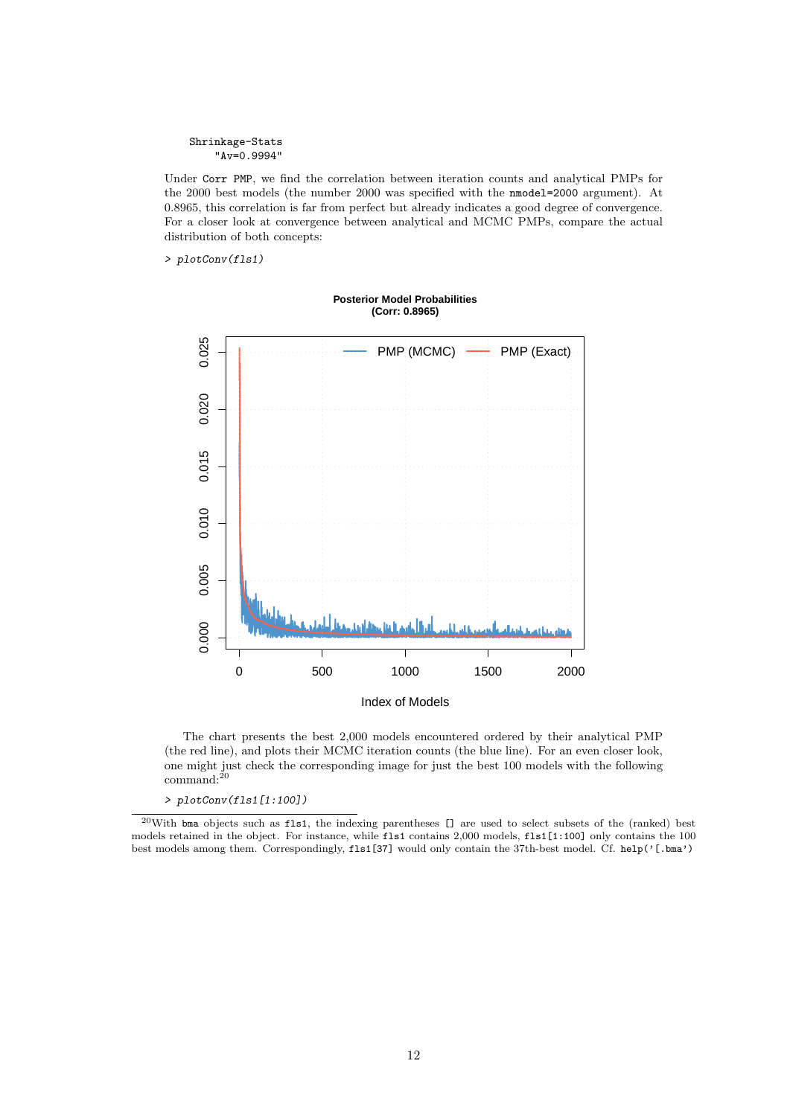```
Shrinkage-Stats
    "Av=0.9994"
```
Under Corr PMP, we find the correlation between iteration counts and analytical PMPs for the 2000 best models (the number 2000 was specified with the nmodel=2000 argument). At 0.8965, this correlation is far from perfect but already indicates a good degree of convergence. For a closer look at convergence between analytical and MCMC PMPs, compare the actual distribution of both concepts:

> plotConv(fls1)



**Posterior Model Probabilities (Corr: 0.8965)**

The chart presents the best 2,000 models encountered ordered by their analytical PMP (the red line), and plots their MCMC iteration counts (the blue line). For an even closer look, one might just check the corresponding image for just the best 100 models with the following command:<sup>20</sup>

> plotConv(fls1[1:100])

<sup>20</sup>With bma objects such as fls1, the indexing parentheses [] are used to select subsets of the (ranked) best models retained in the object. For instance, while fls1 contains 2,000 models, fls1[1:100] only contains the 100 best models among them. Correspondingly, fls1[37] would only contain the 37th-best model. Cf. help('[.bma')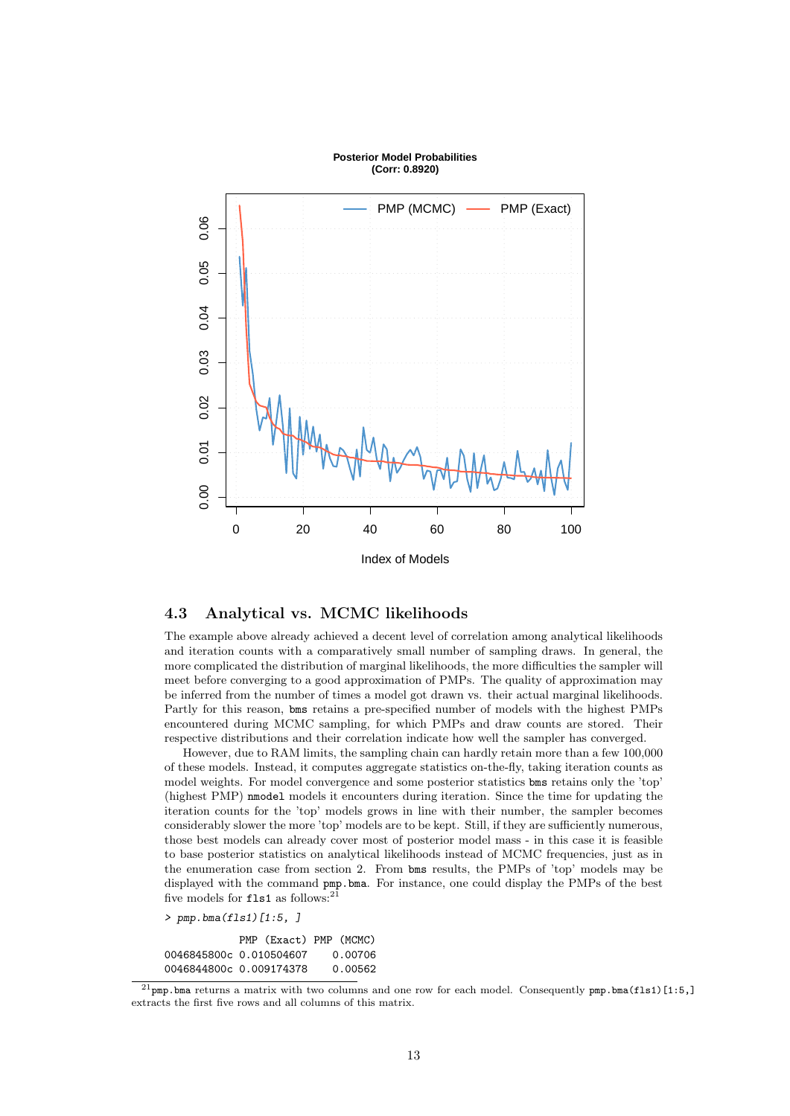

#### **Posterior Model Probabilities (Corr: 0.8920)**

### 4.3 Analytical vs. MCMC likelihoods

The example above already achieved a decent level of correlation among analytical likelihoods and iteration counts with a comparatively small number of sampling draws. In general, the more complicated the distribution of marginal likelihoods, the more difficulties the sampler will meet before converging to a good approximation of PMPs. The quality of approximation may be inferred from the number of times a model got drawn vs. their actual marginal likelihoods. Partly for this reason, bms retains a pre-specified number of models with the highest PMPs encountered during MCMC sampling, for which PMPs and draw counts are stored. Their respective distributions and their correlation indicate how well the sampler has converged.

However, due to RAM limits, the sampling chain can hardly retain more than a few 100,000 of these models. Instead, it computes aggregate statistics on-the-fly, taking iteration counts as model weights. For model convergence and some posterior statistics bms retains only the 'top' (highest PMP) nmodel models it encounters during iteration. Since the time for updating the iteration counts for the 'top' models grows in line with their number, the sampler becomes considerably slower the more 'top' models are to be kept. Still, if they are sufficiently numerous, those best models can already cover most of posterior model mass - in this case it is feasible to base posterior statistics on analytical likelihoods instead of MCMC frequencies, just as in the enumeration case from section 2. From bms results, the PMPs of 'top' models may be displayed with the command pmp.bma. For instance, one could display the PMPs of the best five models for  $fls1$  as follows:<sup>21</sup>

> pmp.bma(fls1)[1:5, ]

|                         | PMP (Exact) PMP (MCMC) |         |
|-------------------------|------------------------|---------|
| 0046845800c 0.010504607 |                        | 0.00706 |
| 0046844800c 0.009174378 |                        | 0.00562 |

 $^{21}$ pmp.bma returns a matrix with two columns and one row for each model. Consequently pmp.bma(fls1)[1:5,] extracts the first five rows and all columns of this matrix.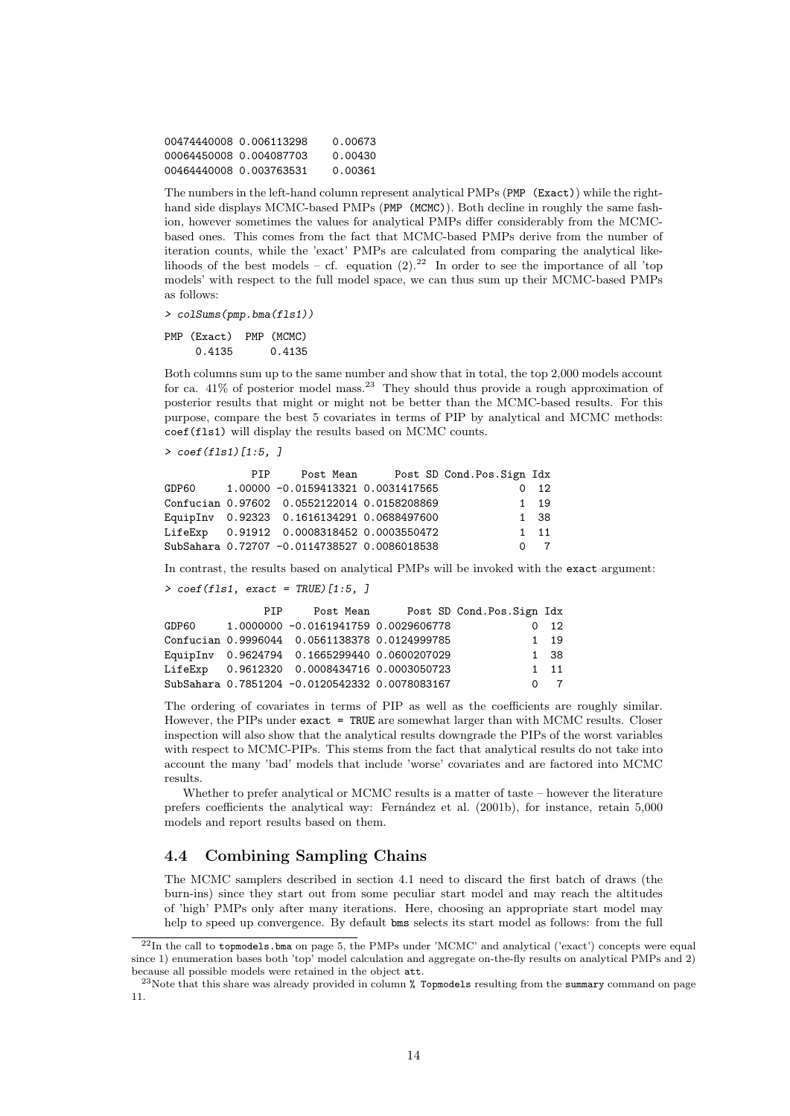00474440008 0.006113298 0.00673 00064450008 0.004087703 0.00430 00464440008 0.003763531 0.00361

The numbers in the left-hand column represent analytical PMPs (PMP (Exact)) while the righthand side displays MCMC-based PMPs (PMP (MCMC)). Both decline in roughly the same fashion, however sometimes the values for analytical PMPs differ considerably from the MCMCbased ones. This comes from the fact that MCMC-based PMPs derive from the number of iteration counts, while the 'exact' PMPs are calculated from comparing the analytical likelihoods of the best models – cf. equation  $(2).^{22}$  In order to see the importance of all 'top models' with respect to the full model space, we can thus sum up their MCMC-based PMPs as follows:

> colSums(pmp.bma(fls1))

PMP (Exact) PMP (MCMC) 0.4135 0.4135

Both columns sum up to the same number and show that in total, the top 2,000 models account for ca.  $41\%$  of posterior model mass.<sup>23</sup> They should thus provide a rough approximation of posterior results that might or might not be better than the MCMC-based results. For this purpose, compare the best 5 covariates in terms of PIP by analytical and MCMC methods: coef(fls1) will display the results based on MCMC counts.

> coef(fls1)[1:5, ]

| PTP D |                                                 | Post Mean Post SD Cond. Pos. Sign Idx |                |
|-------|-------------------------------------------------|---------------------------------------|----------------|
|       |                                                 |                                       | $0\quad 12$    |
|       |                                                 |                                       | 1 19           |
|       |                                                 |                                       | 1 38           |
|       | LifeExp   0.91912   0.0008318452   0.0003550472 |                                       | $1 \quad 11$   |
|       | SubSahara 0.72707 -0.0114738527 0.0086018538    |                                       | 0 <sub>7</sub> |

In contrast, the results based on analytical PMPs will be invoked with the exact argument:

```
> coef(fls1, exact = TRUE)[1:5, ]
```

| PTP |                                                   | Post Mean Post SD Cond. Pos. Sign Idx |              |
|-----|---------------------------------------------------|---------------------------------------|--------------|
|     | GDP60 1.0000000 -0.0161941759 0.0029606778        |                                       | $0\quad 12$  |
|     | Confucian 0.9996044 0.0561138378 0.0124999785     |                                       | 1 19         |
|     | EquipInv 0.9624794 0.1665299440 0.0600207029      |                                       | 1 38         |
|     | LifeExp   0.9612320   0.0008434716   0.0003050723 |                                       | $1 \quad 11$ |
|     | SubSahara 0.7851204 -0.0120542332 0.0078083167    |                                       | $0 \quad 7$  |
|     |                                                   |                                       |              |

The ordering of covariates in terms of PIP as well as the coefficients are roughly similar. However, the PIPs under exact = TRUE are somewhat larger than with MCMC results. Closer inspection will also show that the analytical results downgrade the PIPs of the worst variables with respect to MCMC-PIPs. This stems from the fact that analytical results do not take into account the many 'bad' models that include 'worse' covariates and are factored into MCMC results.

Whether to prefer analytical or MCMC results is a matter of taste – however the literature prefers coefficients the analytical way: Fern´andez et al. (2001b), for instance, retain 5,000 models and report results based on them.

### 4.4 Combining Sampling Chains

The MCMC samplers described in section 4.1 need to discard the first batch of draws (the burn-ins) since they start out from some peculiar start model and may reach the altitudes of 'high' PMPs only after many iterations. Here, choosing an appropriate start model may help to speed up convergence. By default bms selects its start model as follows: from the full

<sup>22</sup>In the call to topmodels.bma on page 5, the PMPs under 'MCMC' and analytical ('exact') concepts were equal since 1) enumeration bases both 'top' model calculation and aggregate on-the-fly results on analytical PMPs and 2) because all possible models were retained in the object att.

<sup>23</sup>Note that this share was already provided in column % Topmodels resulting from the summary command on page 11.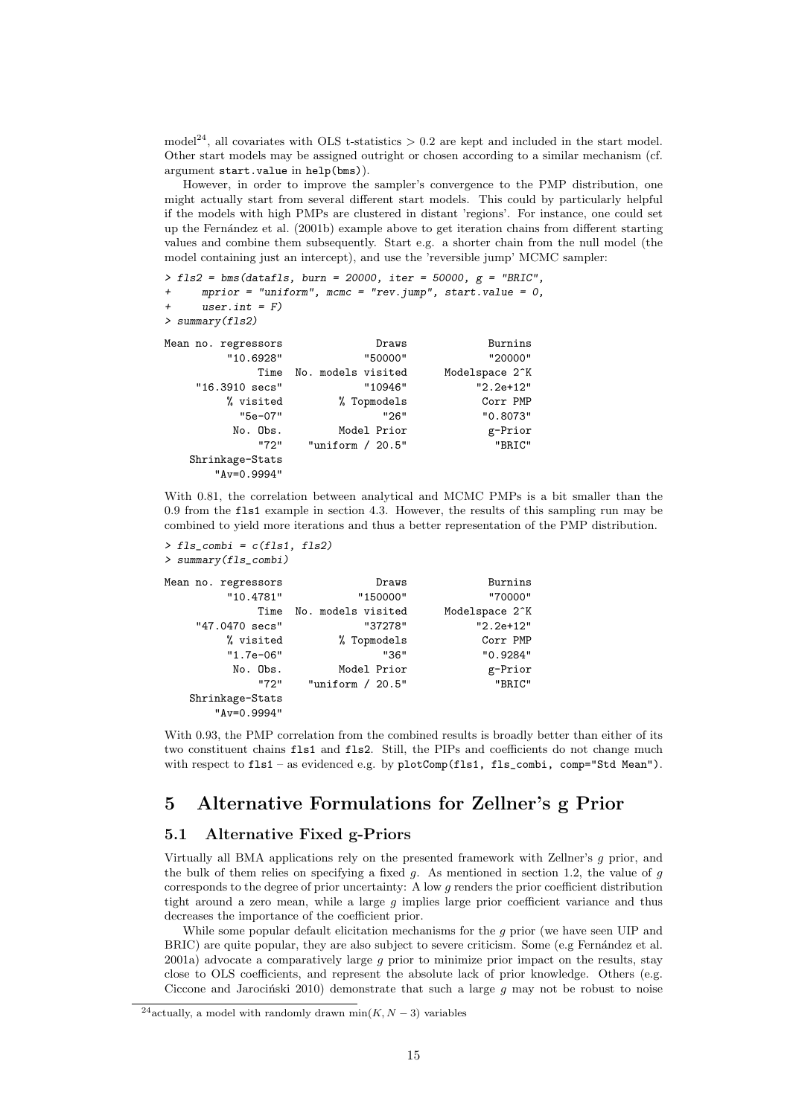model<sup>24</sup>, all covariates with OLS t-statistics  $> 0.2$  are kept and included in the start model. Other start models may be assigned outright or chosen according to a similar mechanism (cf. argument start.value in help(bms)).

However, in order to improve the sampler's convergence to the PMP distribution, one might actually start from several different start models. This could by particularly helpful if the models with high PMPs are clustered in distant 'regions'. For instance, one could set up the Fern´andez et al. (2001b) example above to get iteration chains from different starting values and combine them subsequently. Start e.g. a shorter chain from the null model (the model containing just an intercept), and use the 'reversible jump' MCMC sampler:

```
> fls2 = bms(datafls, burn = 20000, iter = 50000, g = "BRIC",
```

```
+ mprior = "uniform", mcmc = "rev.jump", start.value = 0,
```

```
+ user.int = F)
```
> summary(fls2)

| Mean no. regressors | Draws              | Burnins                     |
|---------------------|--------------------|-----------------------------|
| "10.6928"           | "50000"            | "20000"                     |
| Time                | No. models visited | Modelspace 2 <sup>o</sup> K |
| "16.3910 secs"      | "10946"            | $"2.2e+12"$                 |
| % visited           | % Topmodels        | Corr PMP                    |
| "5e-07"             | "26"               | "0.8073"                    |
| No. Obs.            | Model Prior        | g-Prior                     |
| "72"                | "uniform $/20.5"$  | "BRIC"                      |
| Shrinkage-Stats     |                    |                             |
| $"Av=0.9994"$       |                    |                             |

With 0.81, the correlation between analytical and MCMC PMPs is a bit smaller than the 0.9 from the fls1 example in section 4.3. However, the results of this sampling run may be combined to yield more iterations and thus a better representation of the PMP distribution.

```
> fls_combi = c(fls1, fls2)
> summary(fls_combi)
```

| Burnins                     | Draws              | Mean no. regressors |
|-----------------------------|--------------------|---------------------|
| "70000"                     | "150000"           | "10.4781"           |
| Modelspace 2 <sup>^</sup> K | No. models visited | Time                |
| $"2.2e+12"$                 | "37278"            | "47.0470 secs"      |
| Corr PMP                    | % Topmodels        | % visited           |
| "0.9284"                    | "36"               | $"1.7e-06"$         |
| g-Prior                     | Model Prior        | No. Obs.            |
| "BRIC"                      | "uniform $/20.5"$  | "72"                |
|                             |                    | Shrinkage-Stats     |
|                             |                    | $"Av=0.9994"$       |

With 0.93, the PMP correlation from the combined results is broadly better than either of its two constituent chains fls1 and fls2. Still, the PIPs and coefficients do not change much with respect to fls1 – as evidenced e.g. by plotComp(fls1, fls\_combi, comp="Std Mean").

# 5 Alternative Formulations for Zellner's g Prior

### 5.1 Alternative Fixed g-Priors

Virtually all BMA applications rely on the presented framework with Zellner's g prior, and the bulk of them relies on specifying a fixed g. As mentioned in section 1.2, the value of g corresponds to the degree of prior uncertainty: A low g renders the prior coefficient distribution tight around a zero mean, while a large  $g$  implies large prior coefficient variance and thus decreases the importance of the coefficient prior.

While some popular default elicitation mechanisms for the  $g$  prior (we have seen UIP and BRIC) are quite popular, they are also subject to severe criticism. Some (e.g Fernández et al. 2001a) advocate a comparatively large g prior to minimize prior impact on the results, stay close to OLS coefficients, and represent the absolute lack of prior knowledge. Others (e.g. Ciccone and Jarocinski 2010) demonstrate that such a large  $g$  may not be robust to noise

<sup>&</sup>lt;sup>24</sup> actually, a model with randomly drawn min $(K, N - 3)$  variables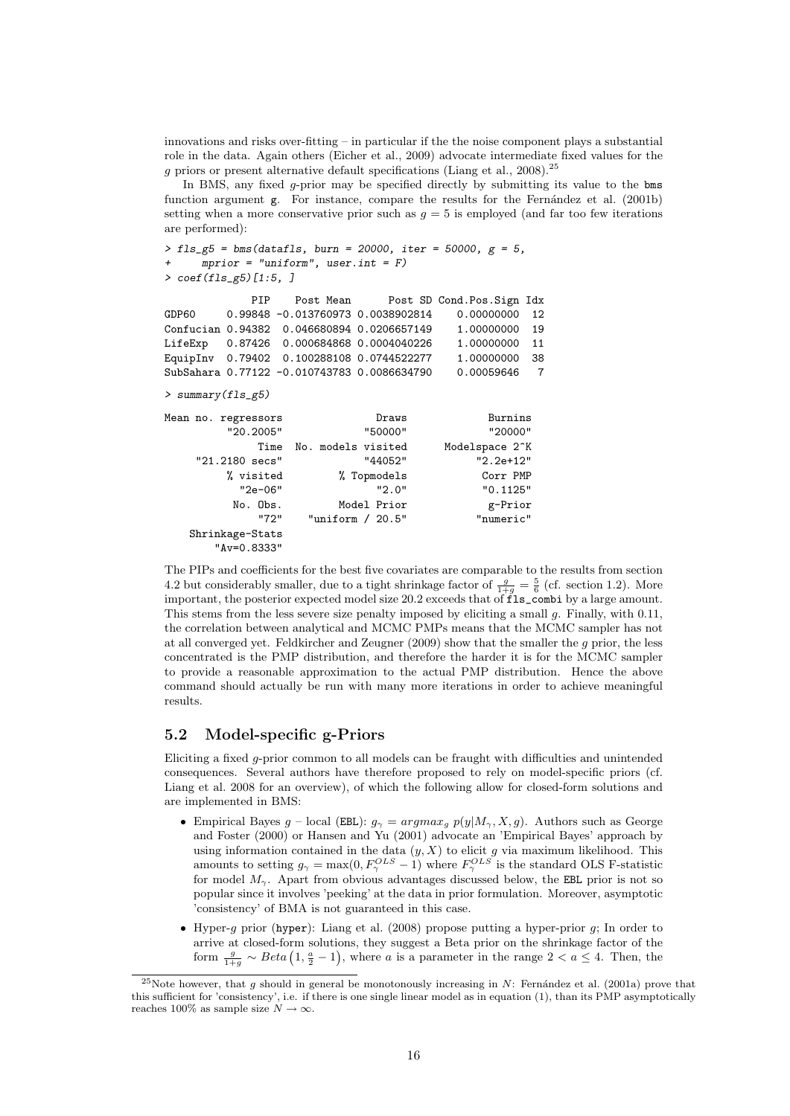innovations and risks over-fitting – in particular if the the noise component plays a substantial role in the data. Again others (Eicher et al., 2009) advocate intermediate fixed values for the  $g$  priors or present alternative default specifications (Liang et al., 2008).<sup>25</sup>

In BMS, any fixed g-prior may be specified directly by submitting its value to the bms function argument g. For instance, compare the results for the Fernández et al. (2001b) setting when a more conservative prior such as  $g = 5$  is employed (and far too few iterations are performed):

```
> fls_{g5} = bms(datafls, burn = 20000, iter = 50000, g = 5,mprior = "uniform", user.int = F)> coef(fls_g5)[1:5, ]
```

```
PIP Post Mean Post SD Cond.Pos.Sign Idx
GDP60  0.99848 -0.013760973  0.0038902814  0.00000000  12
Confucian 0.94382 0.046680894 0.0206657149 1.00000000 19
LifeExp  0.87426  0.000684868  0.0004040226  1.00000000  11<br>EquipInv  0.79402  0.100288108  0.0744522277  1.00000000  38
EquipInv  0.79402  0.100288108  0.0744522277
SubSahara 0.77122 -0.010743783 0.0086634790 0.00059646 7
> summary(fls_g5)
Mean no. regressors Burning Draws Burnins
         "20.2005" "50000" "20000"
              Time No. models visited
     "21.2180 secs" "44052" "2.2e+12"
         % visited % Topmodels Corr PMP<br>
"2e-06" 2.0" 2.0" 0.1125"
                                 "2.0" "0.1125"
```
No. Obs. Model Prior g-Prior<br>"72" "uniform / 20.5" "numeric" "uniform / 20.5" "numeric" Shrinkage-Stats "Av=0.8333"

The PIPs and coefficients for the best five covariates are comparable to the results from section 4.2 but considerably smaller, due to a tight shrinkage factor of  $\frac{g}{1+g} = \frac{5}{6}$  (cf. section 1.2). More important, the posterior expected model size 20.2 exceeds that of  $\overline{f}_{1}^{\overline{f}_{y}}$  combi by a large amount. This stems from the less severe size penalty imposed by eliciting a small  $q$ . Finally, with 0.11, the correlation between analytical and MCMC PMPs means that the MCMC sampler has not at all converged yet. Feldkircher and Zeugner (2009) show that the smaller the g prior, the less concentrated is the PMP distribution, and therefore the harder it is for the MCMC sampler to provide a reasonable approximation to the actual PMP distribution. Hence the above command should actually be run with many more iterations in order to achieve meaningful results.

### 5.2 Model-specific g-Priors

Eliciting a fixed g-prior common to all models can be fraught with difficulties and unintended consequences. Several authors have therefore proposed to rely on model-specific priors (cf. Liang et al. 2008 for an overview), of which the following allow for closed-form solutions and are implemented in BMS:

- Empirical Bayes g local (EBL):  $g_{\gamma} = argmax_g p(y|M_{\gamma}, X, g)$ . Authors such as George and Foster (2000) or Hansen and Yu (2001) advocate an 'Empirical Bayes' approach by using information contained in the data  $(y, X)$  to elicit g via maximum likelihood. This amounts to setting  $g_{\gamma} = \max(0, F_{\gamma}^{OLS} - 1)$  where  $F_{\gamma}^{OLS}$  is the standard OLS F-statistic for model  $M_{\gamma}$ . Apart from obvious advantages discussed below, the EBL prior is not so popular since it involves 'peeking' at the data in prior formulation. Moreover, asymptotic 'consistency' of BMA is not guaranteed in this case.
- $\bullet$  Hyper-g prior (hyper): Liang et al. (2008) propose putting a hyper-prior g; In order to arrive at closed-form solutions, they suggest a Beta prior on the shrinkage factor of the form  $\frac{g}{1+g} \sim Beta\left(1, \frac{a}{2} - 1\right)$ , where a is a parameter in the range  $2 < a \leq 4$ . Then, the

<sup>&</sup>lt;sup>25</sup>Note however, that g should in general be monotonously increasing in  $N$ : Fernández et al. (2001a) prove that this sufficient for 'consistency', i.e. if there is one single linear model as in equation (1), than its PMP asymptotically reaches 100% as sample size  $N\to\infty.$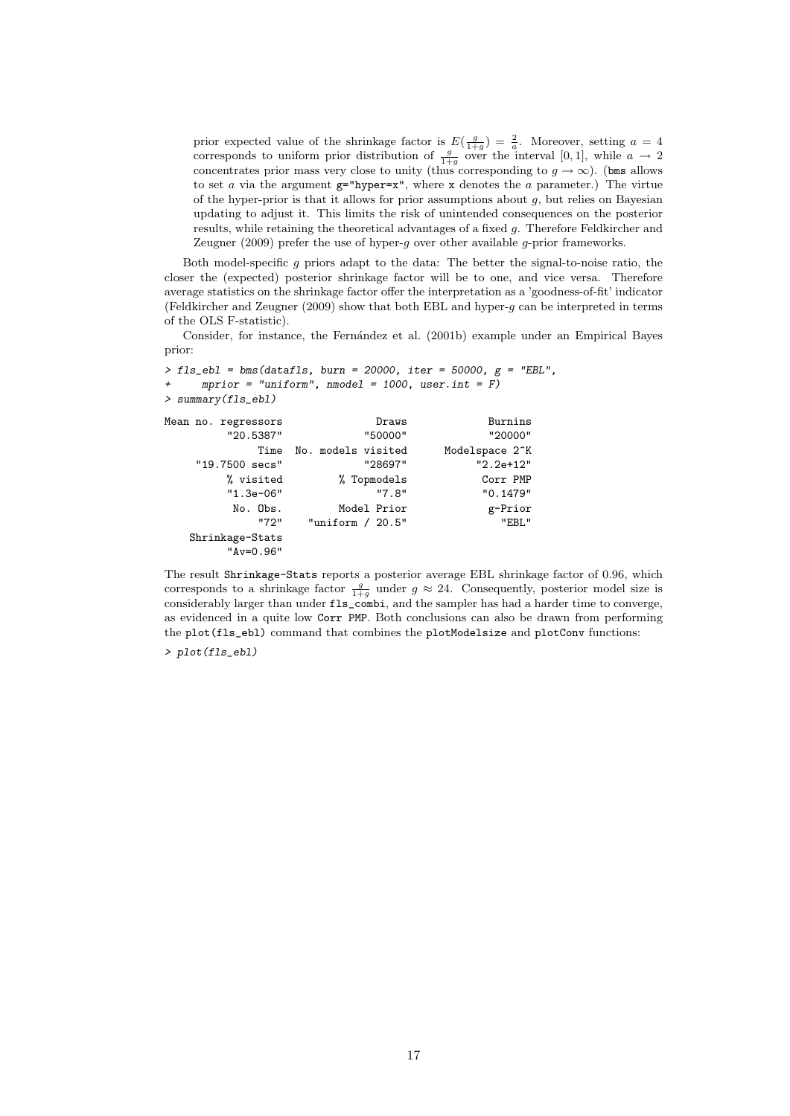prior expected value of the shrinkage factor is  $E(\frac{g}{1+g}) = \frac{2}{a}$ . Moreover, setting  $a = 4$ corresponds to uniform prior distribution of  $\frac{g}{1+g}$  over the interval [0,1], while  $a \to 2$ concentrates prior mass very close to unity (thus corresponding to  $g \to \infty$ ). (bms allows to set a via the argument  $g=$ "hyper=x", where x denotes the a parameter.) The virtue of the hyper-prior is that it allows for prior assumptions about  $g$ , but relies on Bayesian updating to adjust it. This limits the risk of unintended consequences on the posterior results, while retaining the theoretical advantages of a fixed g. Therefore Feldkircher and Zeugner (2009) prefer the use of hyper-g over other available g-prior frameworks.

Both model-specific  $g$  priors adapt to the data: The better the signal-to-noise ratio, the closer the (expected) posterior shrinkage factor will be to one, and vice versa. Therefore average statistics on the shrinkage factor offer the interpretation as a 'goodness-of-fit' indicator (Feldkircher and Zeugner (2009) show that both EBL and hyper-g can be interpreted in terms of the OLS F-statistic).

Consider, for instance, the Fernández et al. (2001b) example under an Empirical Bayes prior:

```
> fls_ebl = bms(datafls, burn = 20000, iter = 50000, g = "EBL",
     mprior = "uniform", \nmode1 = 1000, user.int = F)> summary(fls_ebl)
Mean no. regressors Burning Draws Burnins
         "20.5387" "50000" "20.5387" "20.5387"<br>Time No. models visited Modelspace 2^K
             Time No. models visited
    "19.7500 secs" "28697" "2.2e+12"
         % visited % Topmodels Corr PMP
         "1.3e-06" "7.8" "0.1479"
          No. Obs. Model Prior g-Prior<br>"72" "uniform / 20.5" "EBL"
                     "uniform / 20.5"Shrinkage-Stats
         "Av=0.96"
```
The result Shrinkage-Stats reports a posterior average EBL shrinkage factor of 0.96, which corresponds to a shrinkage factor  $\frac{g}{1+g}$  under  $g \approx 24$ . Consequently, posterior model size is considerably larger than under fls\_combi, and the sampler has had a harder time to converge, as evidenced in a quite low Corr PMP. Both conclusions can also be drawn from performing the plot(fls\_ebl) command that combines the plotModelsize and plotConv functions:

> plot(fls\_ebl)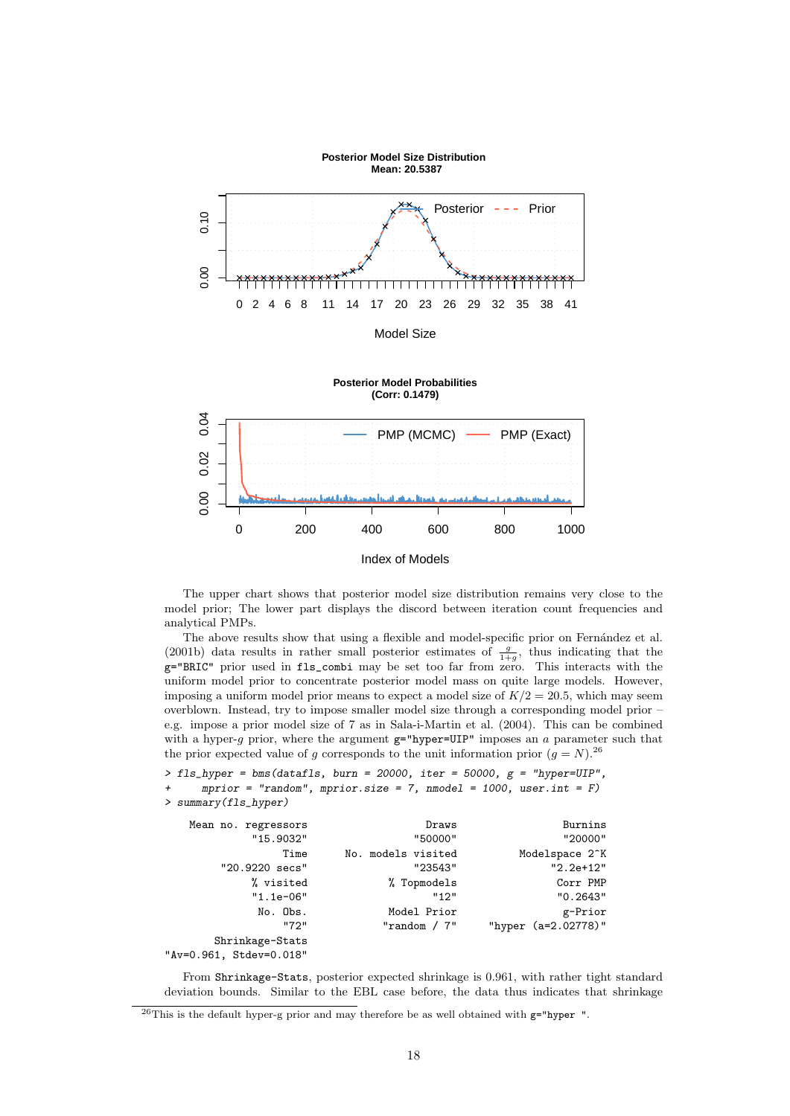

The upper chart shows that posterior model size distribution remains very close to the model prior; The lower part displays the discord between iteration count frequencies and analytical PMPs.

The above results show that using a flexible and model-specific prior on Fernández et al. (2001b) data results in rather small posterior estimates of  $\frac{g}{1+g}$ , thus indicating that the g="BRIC" prior used in fls\_combi may be set too far from zero. This interacts with the uniform model prior to concentrate posterior model mass on quite large models. However, imposing a uniform model prior means to expect a model size of  $K/2 = 20.5$ , which may seem overblown. Instead, try to impose smaller model size through a corresponding model prior – e.g. impose a prior model size of 7 as in Sala-i-Martin et al. (2004). This can be combined with a hyper-g prior, where the argument  $g="hyper=UP"$  imposes an  $a$  parameter such that the prior expected value of g corresponds to the unit information prior  $(g = N)^{26}$ 

```
> fls_hyper = bms(datafls, burn = 20000, iter = 50000, g = "hyper=UIP",mprior = "random", mprior.size = 7, mmodel = 1000, user.int = F)> summary(fls_hyper)
```

| Mean no. regressors     | Draws              | Burnins                     |
|-------------------------|--------------------|-----------------------------|
| "15.9032"               | "50000"            | "20000"                     |
| Time                    | No. models visited | Modelspace 2 <sup>o</sup> K |
| "20.9220 secs"          | "23543"            | $"2.2e+12"$                 |
| % visited               | % Topmodels        | Corr PMP                    |
| $"1.1e-06"$             | "12"               | "0.2643"                    |
| No. Obs.                | Model Prior        | g-Prior                     |
| "72"                    | " $r$ andom / $7"$ | "hyper (a=2.02778)"         |
| Shrinkage-Stats         |                    |                             |
| "Av=0.961, Stdev=0.018" |                    |                             |

From Shrinkage-Stats, posterior expected shrinkage is 0.961, with rather tight standard deviation bounds. Similar to the EBL case before, the data thus indicates that shrinkage

 $^{26}$ This is the default hyper-g prior and may therefore be as well obtained with  $g="sup$ nyper ".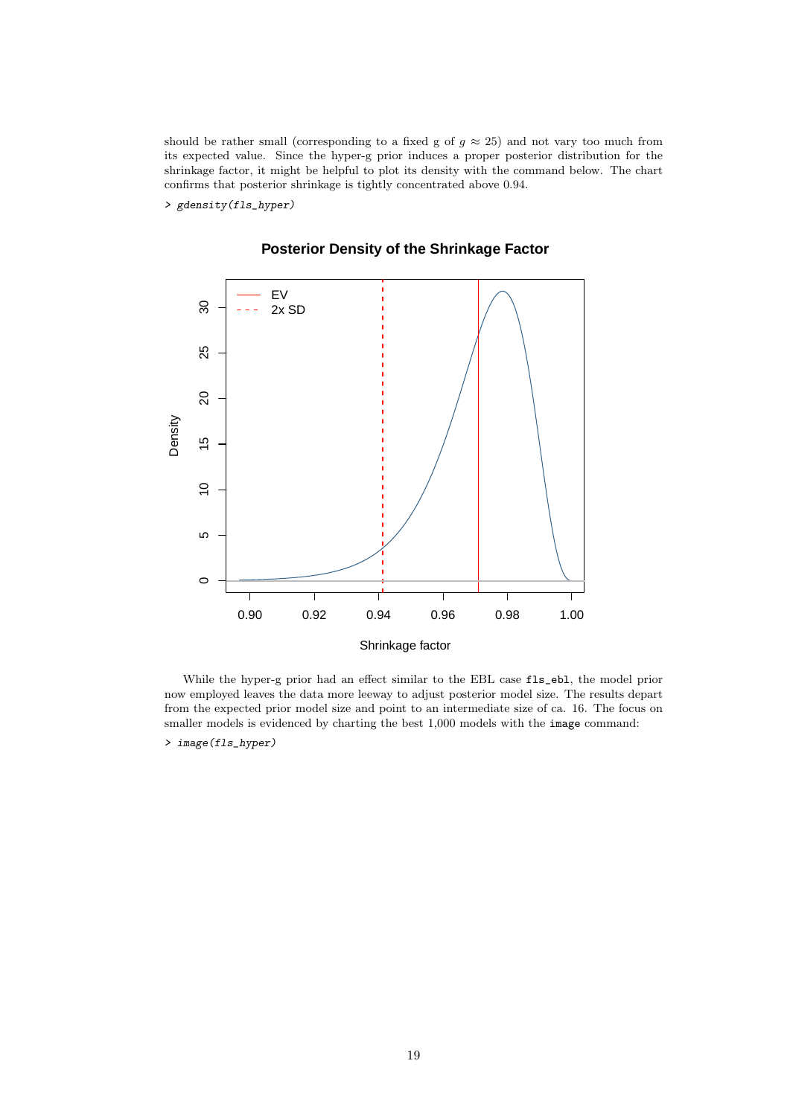should be rather small (corresponding to a fixed g of  $g \approx 25$ ) and not vary too much from its expected value. Since the hyper-g prior induces a proper posterior distribution for the shrinkage factor, it might be helpful to plot its density with the command below. The chart confirms that posterior shrinkage is tightly concentrated above 0.94.

> gdensity(fls\_hyper)



## **Posterior Density of the Shrinkage Factor**

While the hyper-g prior had an effect similar to the EBL case fls\_ebl, the model prior now employed leaves the data more leeway to adjust posterior model size. The results depart from the expected prior model size and point to an intermediate size of ca. 16. The focus on smaller models is evidenced by charting the best 1,000 models with the image command:

> image(fls\_hyper)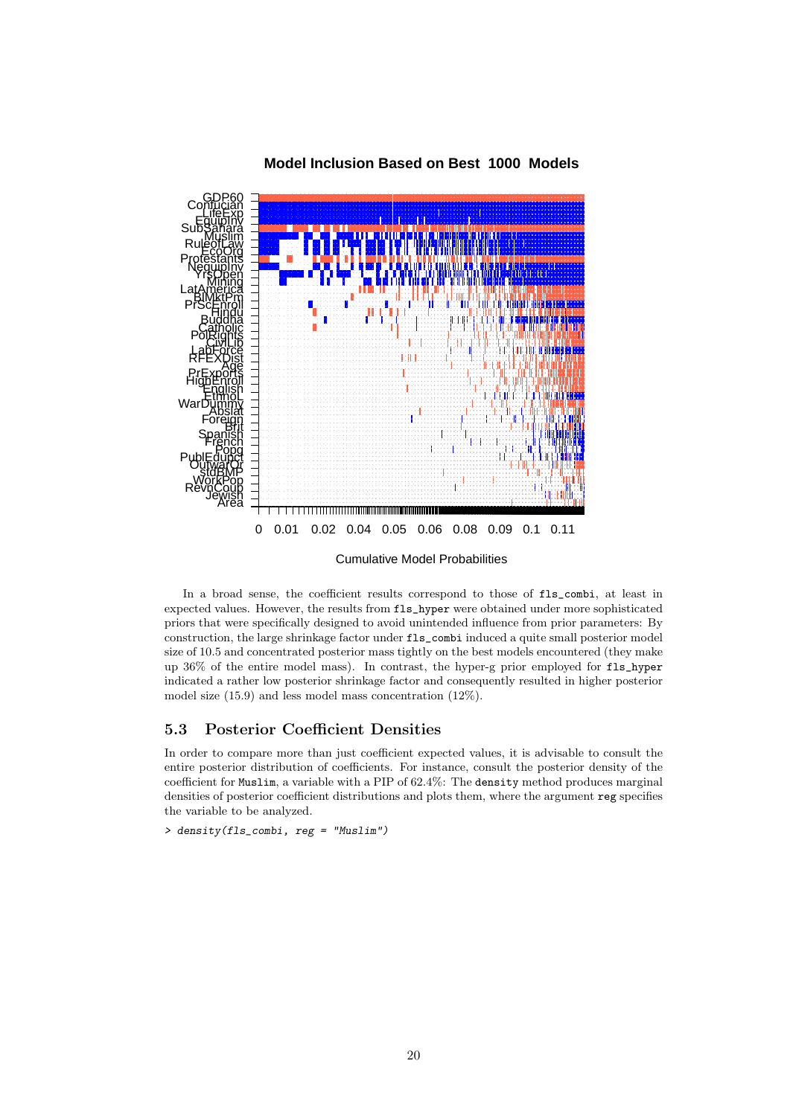

### **Model Inclusion Based on Best 1000 Models**

In a broad sense, the coefficient results correspond to those of fls\_combi, at least in expected values. However, the results from fls\_hyper were obtained under more sophisticated priors that were specifically designed to avoid unintended influence from prior parameters: By construction, the large shrinkage factor under fls\_combi induced a quite small posterior model size of 10.5 and concentrated posterior mass tightly on the best models encountered (they make up 36% of the entire model mass). In contrast, the hyper-g prior employed for fls\_hyper indicated a rather low posterior shrinkage factor and consequently resulted in higher posterior model size (15.9) and less model mass concentration (12%).

### 5.3 Posterior Coefficient Densities

In order to compare more than just coefficient expected values, it is advisable to consult the entire posterior distribution of coefficients. For instance, consult the posterior density of the coefficient for Muslim, a variable with a PIP of 62.4%: The density method produces marginal densities of posterior coefficient distributions and plots them, where the argument reg specifies the variable to be analyzed.

> density(fls\_combi, reg = "Muslim")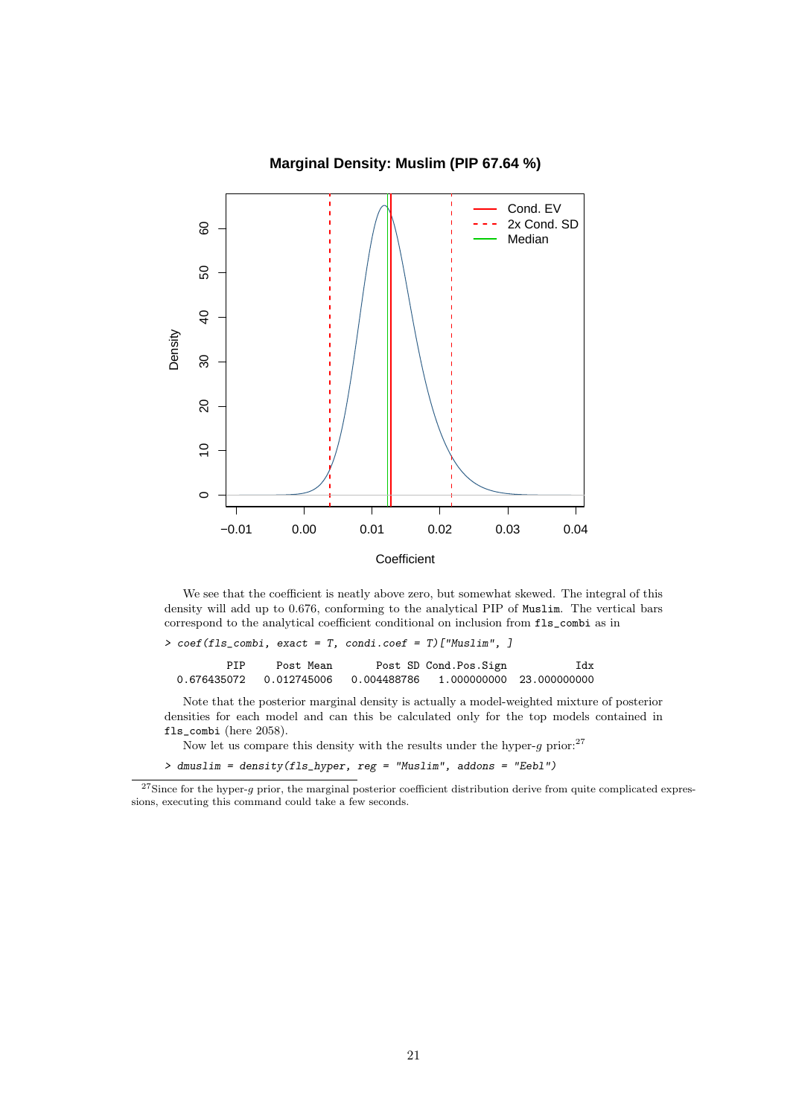### **Marginal Density: Muslim (PIP 67.64 %)**



We see that the coefficient is neatly above zero, but somewhat skewed. The integral of this density will add up to 0.676, conforming to the analytical PIP of Muslim. The vertical bars correspond to the analytical coefficient conditional on inclusion from fls\_combi as in

| $>$ coef(fls_combi, exact = T, condi.coef = T)["Muslim", ]       |           |                       |     |
|------------------------------------------------------------------|-----------|-----------------------|-----|
| PTP                                                              | Post Mean | Post SD Cond.Pos.Sign | Idx |
| 0.676435072  0.012745006  0.004488786  1.000000000  23.000000000 |           |                       |     |

Note that the posterior marginal density is actually a model-weighted mixture of posterior densities for each model and can this be calculated only for the top models contained in fls\_combi (here 2058).

Now let us compare this density with the results under the hyper- $g$  prior:<sup>27</sup>

> dmuslim = density(fls\_hyper, reg = "Muslim", addons = "Eebl")

 $27$ Since for the hyper-g prior, the marginal posterior coefficient distribution derive from quite complicated expressions, executing this command could take a few seconds.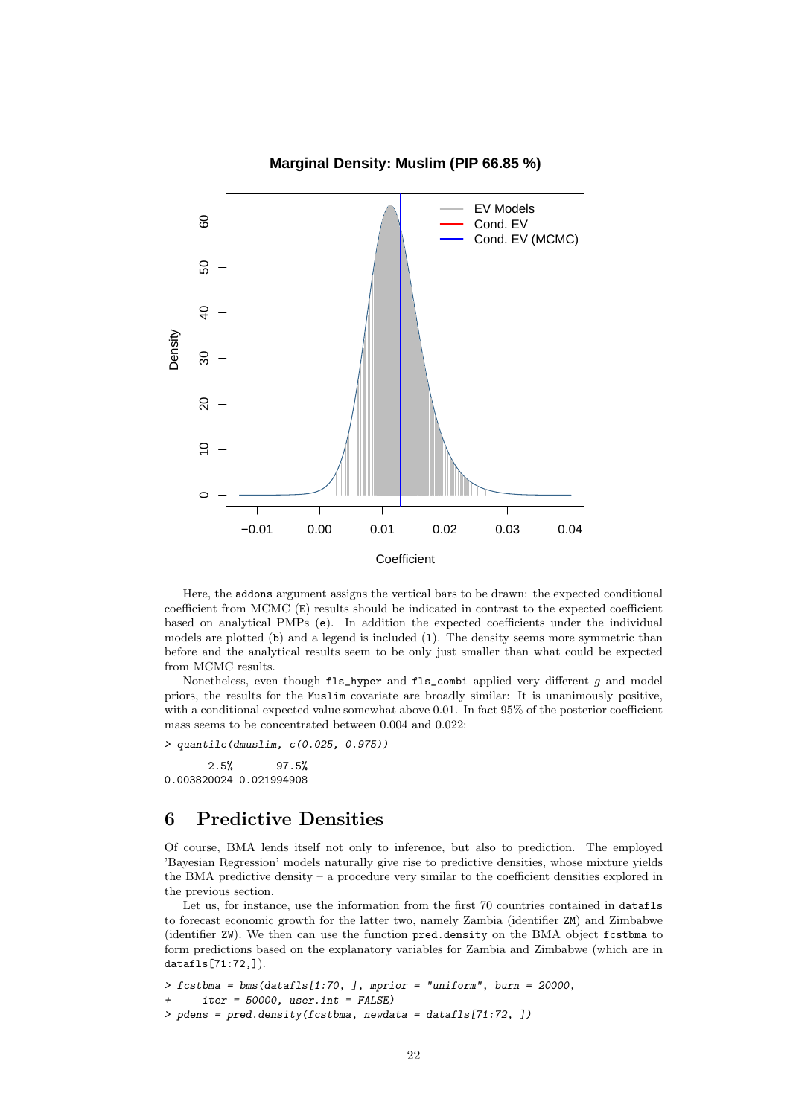

### **Marginal Density: Muslim (PIP 66.85 %)**

Here, the addons argument assigns the vertical bars to be drawn: the expected conditional coefficient from MCMC (E) results should be indicated in contrast to the expected coefficient based on analytical PMPs (e). In addition the expected coefficients under the individual models are plotted (b) and a legend is included (1). The density seems more symmetric than before and the analytical results seem to be only just smaller than what could be expected from MCMC results.

Nonetheless, even though fls\_hyper and fls\_combi applied very different g and model priors, the results for the Muslim covariate are broadly similar: It is unanimously positive, with a conditional expected value somewhat above 0.01. In fact 95% of the posterior coefficient mass seems to be concentrated between 0.004 and 0.022:

> quantile(dmuslim, c(0.025, 0.975))

2.5% 97.5% 0.003820024 0.021994908

# 6 Predictive Densities

Of course, BMA lends itself not only to inference, but also to prediction. The employed 'Bayesian Regression' models naturally give rise to predictive densities, whose mixture yields the BMA predictive density – a procedure very similar to the coefficient densities explored in the previous section.

Let us, for instance, use the information from the first 70 countries contained in datafls to forecast economic growth for the latter two, namely Zambia (identifier ZM) and Zimbabwe (identifier ZW). We then can use the function pred.density on the BMA object fcstbma to form predictions based on the explanatory variables for Zambia and Zimbabwe (which are in datafls[71:72,]).

```
> fcstbma = bms(datafls[1:70, ], mprior = "uniform", burn = 20000,
      iter = 50000, user.int = FALSE)
> pdens = pred.density(fcstbma, newdata = datafls[71:72, ])
```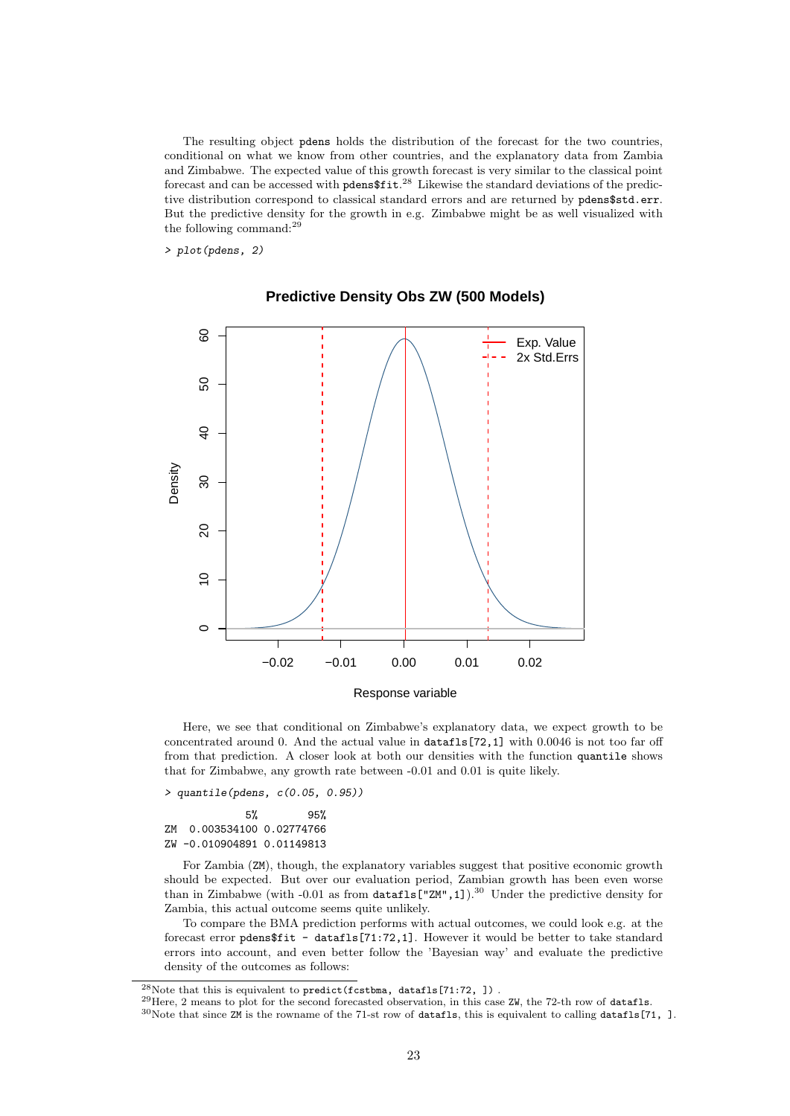The resulting object pdens holds the distribution of the forecast for the two countries, conditional on what we know from other countries, and the explanatory data from Zambia and Zimbabwe. The expected value of this growth forecast is very similar to the classical point forecast and can be accessed with  $p$ dens $$fit.^{28}$  Likewise the standard deviations of the predictive distribution correspond to classical standard errors and are returned by pdens\$std.err. But the predictive density for the growth in e.g. Zimbabwe might be as well visualized with the following command: $^{29}$ 

> plot(pdens, 2)



### **Predictive Density Obs ZW (500 Models)**

Here, we see that conditional on Zimbabwe's explanatory data, we expect growth to be concentrated around 0. And the actual value in datafls[72,1] with 0.0046 is not too far off from that prediction. A closer look at both our densities with the function quantile shows that for Zimbabwe, any growth rate between -0.01 and 0.01 is quite likely.

> quantile(pdens, c(0.05, 0.95))

5% 95% ZM 0.003534100 0.02774766 ZW -0.010904891 0.01149813

For Zambia (ZM), though, the explanatory variables suggest that positive economic growth should be expected. But over our evaluation period, Zambian growth has been even worse than in Zimbabwe (with -0.01 as from datafls["ZM",1]).<sup>30</sup> Under the predictive density for Zambia, this actual outcome seems quite unlikely.

To compare the BMA prediction performs with actual outcomes, we could look e.g. at the forecast error pdens\$fit - datafls[71:72,1]. However it would be better to take standard errors into account, and even better follow the 'Bayesian way' and evaluate the predictive density of the outcomes as follows:

 $^{29}$ Here, 2 means to plot for the second forecasted observation, in this case ZW, the 72-th row of datafls.

 $^{28}$ Note that this is equivalent to predict(fcstbma, datafls[71:72, ]).

 $30$ Note that since ZM is the rowname of the 71-st row of datafls, this is equivalent to calling datafls[71, ].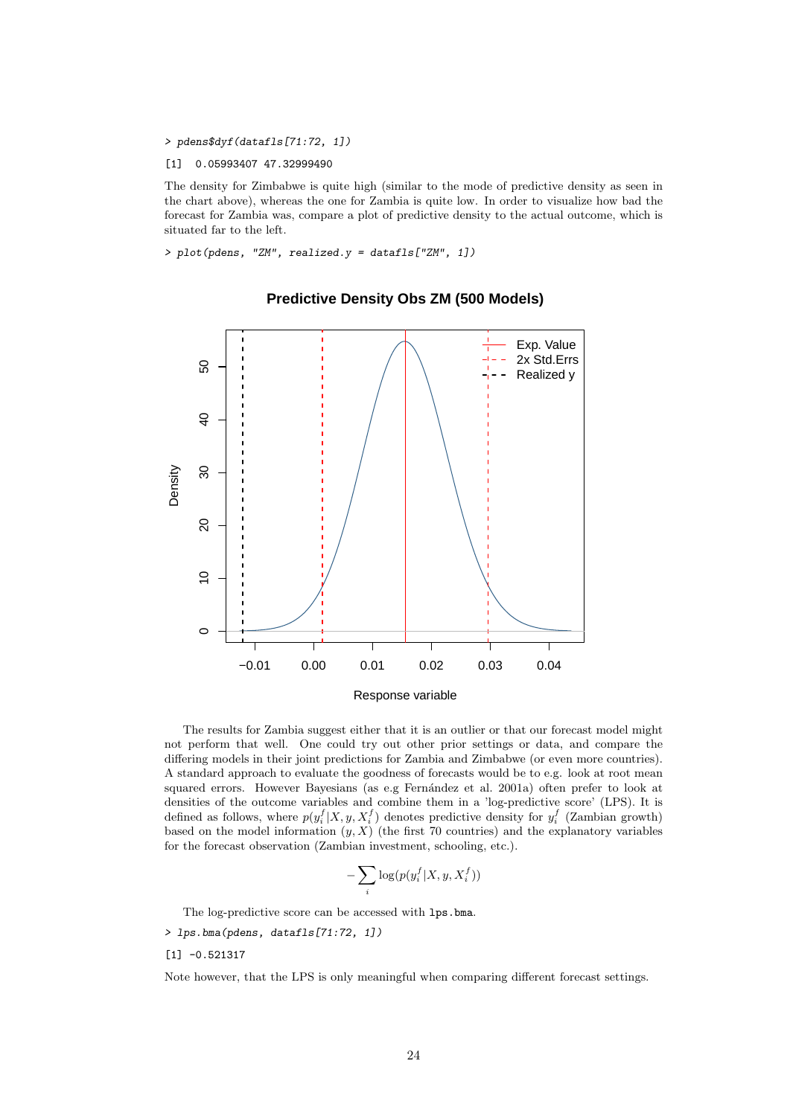> pdens\$dyf(datafls[71:72, 1])

#### [1] 0.05993407 47.32999490

The density for Zimbabwe is quite high (similar to the mode of predictive density as seen in the chart above), whereas the one for Zambia is quite low. In order to visualize how bad the forecast for Zambia was, compare a plot of predictive density to the actual outcome, which is situated far to the left.

> plot(pdens, "ZM", realized.y = datafls["ZM", 1])



### **Predictive Density Obs ZM (500 Models)**

The results for Zambia suggest either that it is an outlier or that our forecast model might not perform that well. One could try out other prior settings or data, and compare the differing models in their joint predictions for Zambia and Zimbabwe (or even more countries). A standard approach to evaluate the goodness of forecasts would be to e.g. look at root mean squared errors. However Bayesians (as e.g Fernández et al. 2001a) often prefer to look at densities of the outcome variables and combine them in a 'log-predictive score' (LPS). It is defined as follows, where  $p(y_i^f|X, y, X_i^f)$  denotes predictive density for  $y_i^f$  (Zambian growth) based on the model information  $(y, X)$  (the first 70 countries) and the explanatory variables for the forecast observation (Zambian investment, schooling, etc.).

$$
-\sum_i \log(p(y_i^f | X, y, X_i^f))
$$

The log-predictive score can be accessed with lps.bma.

> lps.bma(pdens, datafls[71:72, 1])

[1] -0.521317

Note however, that the LPS is only meaningful when comparing different forecast settings.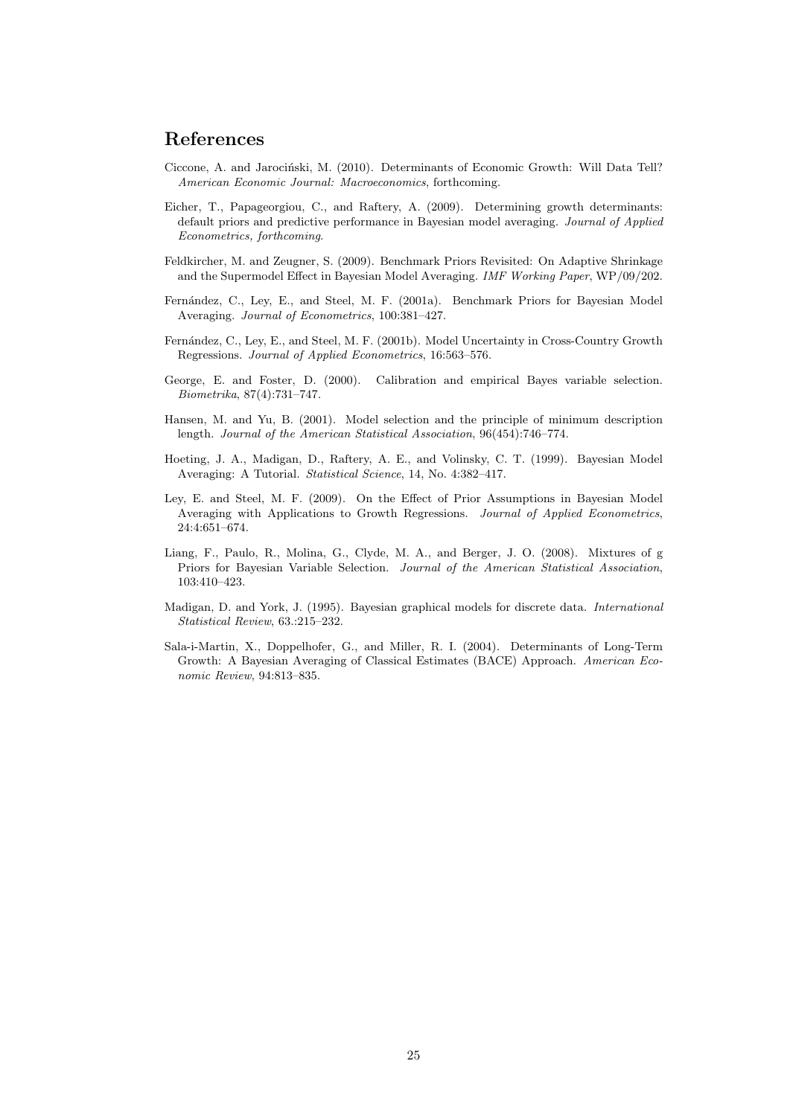# References

- Ciccone, A. and Jarociński, M. (2010). Determinants of Economic Growth: Will Data Tell? American Economic Journal: Macroeconomics, forthcoming.
- Eicher, T., Papageorgiou, C., and Raftery, A. (2009). Determining growth determinants: default priors and predictive performance in Bayesian model averaging. Journal of Applied Econometrics, forthcoming.
- Feldkircher, M. and Zeugner, S. (2009). Benchmark Priors Revisited: On Adaptive Shrinkage and the Supermodel Effect in Bayesian Model Averaging. IMF Working Paper, WP/09/202.
- Fern´andez, C., Ley, E., and Steel, M. F. (2001a). Benchmark Priors for Bayesian Model Averaging. Journal of Econometrics, 100:381–427.
- Fernández, C., Ley, E., and Steel, M. F. (2001b). Model Uncertainty in Cross-Country Growth Regressions. Journal of Applied Econometrics, 16:563–576.
- George, E. and Foster, D. (2000). Calibration and empirical Bayes variable selection. Biometrika, 87(4):731–747.
- Hansen, M. and Yu, B. (2001). Model selection and the principle of minimum description length. Journal of the American Statistical Association, 96(454):746–774.
- Hoeting, J. A., Madigan, D., Raftery, A. E., and Volinsky, C. T. (1999). Bayesian Model Averaging: A Tutorial. Statistical Science, 14, No. 4:382–417.
- Ley, E. and Steel, M. F. (2009). On the Effect of Prior Assumptions in Bayesian Model Averaging with Applications to Growth Regressions. Journal of Applied Econometrics, 24:4:651–674.
- Liang, F., Paulo, R., Molina, G., Clyde, M. A., and Berger, J. O. (2008). Mixtures of g Priors for Bayesian Variable Selection. Journal of the American Statistical Association, 103:410–423.
- Madigan, D. and York, J. (1995). Bayesian graphical models for discrete data. International Statistical Review, 63.:215–232.
- Sala-i-Martin, X., Doppelhofer, G., and Miller, R. I. (2004). Determinants of Long-Term Growth: A Bayesian Averaging of Classical Estimates (BACE) Approach. American Economic Review, 94:813–835.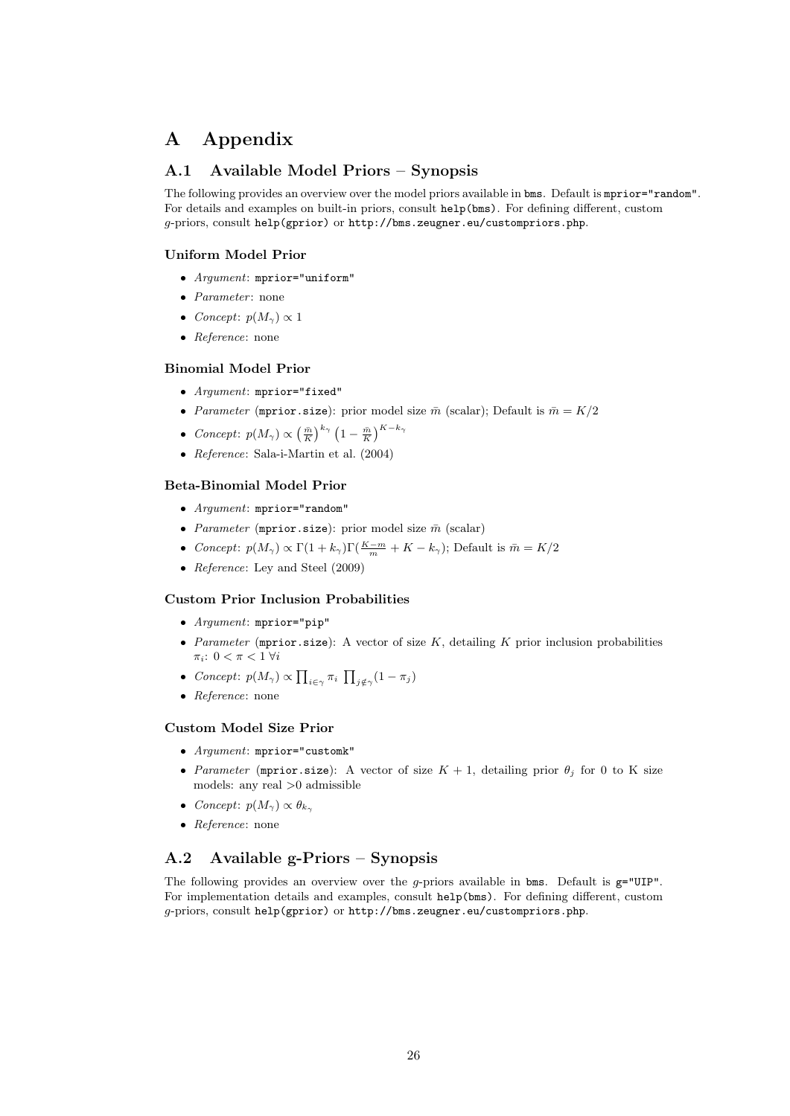# A Appendix

## A.1 Available Model Priors – Synopsis

The following provides an overview over the model priors available in bms. Default is mprior="random". For details and examples on built-in priors, consult help(bms). For defining different, custom g-priors, consult help(gprior) or http://bms.zeugner.eu/custompriors.php.

### Uniform Model Prior

- Argument: mprior="uniform"
- $\bullet$  *Parameter*: none
- Concept:  $p(M_{\gamma}) \propto 1$
- Reference: none

### Binomial Model Prior

- Argument: mprior="fixed"
- *Parameter* (mprior.size): prior model size  $\bar{m}$  (scalar); Default is  $\bar{m} = K/2$
- Concept:  $p(M_\gamma) \propto \left(\frac{\bar{m}}{K}\right)^{k\gamma} \left(1 \frac{\bar{m}}{K}\right)^{K-k\gamma}$
- Reference: Sala-i-Martin et al.  $(2004)$

### Beta-Binomial Model Prior

- Argument: mprior="random"
- *Parameter* (mprior.size): prior model size  $\bar{m}$  (scalar)
- Concept:  $p(M_{\gamma}) \propto \Gamma(1 + k_{\gamma}) \Gamma(\frac{K-m}{m} + K k_{\gamma})$ ; Default is  $\bar{m} = K/2$
- Reference: Ley and Steel  $(2009)$

#### Custom Prior Inclusion Probabilities

- Argument: mprior="pip"
- Parameter (mprior.size): A vector of size  $K$ , detailing  $K$  prior inclusion probabilities  $\pi_i: 0 < \pi < 1 \; \forall i$
- Concept:  $p(M_\gamma) \propto \prod_{i \in \gamma} \pi_i \prod_{j \notin \gamma} (1 \pi_j)$
- Reference: none

#### Custom Model Size Prior

- Argument: mprior="customk"
- Parameter (mprior.size): A vector of size  $K + 1$ , detailing prior  $\theta_j$  for 0 to K size models: any real >0 admissible
- Concept:  $p(M_{\gamma}) \propto \theta_{k_{\gamma}}$
- Reference: none

## A.2 Available g-Priors – Synopsis

The following provides an overview over the  $g$ -priors available in bms. Default is  $g="UIP"$ . For implementation details and examples, consult help(bms). For defining different, custom g-priors, consult help(gprior) or http://bms.zeugner.eu/custompriors.php.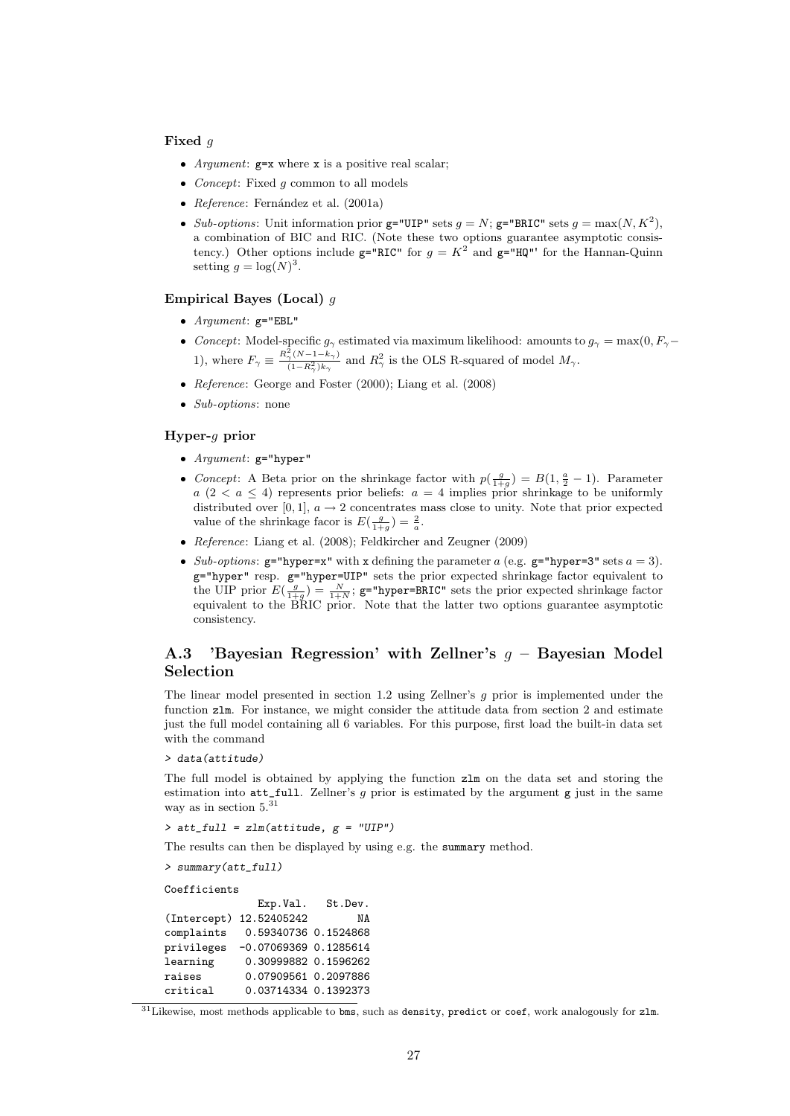#### Fixed q

- Argument:  $g=x$  where  $x$  is a positive real scalar;
- *Concept*: Fixed  $g$  common to all models
- Reference: Fernández et al. (2001a)
- Sub-options: Unit information prior  $g=$ "UIP" sets  $g=N$ ;  $g=$ "BRIC" sets  $g=$  max $(N, K^2)$ , a combination of BIC and RIC. (Note these two options guarantee asymptotic consistency.) Other options include  $g="RIC"$  for  $g = K^2$  and  $g="HQ"$  for the Hannan-Quinn setting  $g = \log(N)^3$ .

### Empirical Bayes (Local) g

- $Argument: g="EBL"$
- Concept: Model-specific  $g_{\gamma}$  estimated via maximum likelihood: amounts to  $g_{\gamma} = \max(0, F_{\gamma} \min(0, F_{\gamma}))$ 1), where  $F_{\gamma} \equiv \frac{R_{\gamma}^2 (N-1-k_{\gamma})}{(1-R_{\gamma}^2)k}$  $\frac{\tau_{\gamma}(N-1-k_{\gamma})}{(1-R_{\gamma}^2)k_{\gamma}}$  and  $R_{\gamma}^2$  is the OLS R-squared of model  $M_{\gamma}$ .
- Reference: George and Foster (2000); Liang et al. (2008)
- $\bullet$  *Sub-options*: none

### Hyper-g prior

- Argument:  $g="hyper"$
- Concept: A Beta prior on the shrinkage factor with  $p(\frac{g}{1+g}) = B(1, \frac{a}{2} 1)$ . Parameter  $a (2 < a \le 4)$  represents prior beliefs:  $a = 4$  implies prior shrinkage to be uniformly distributed over [0, 1],  $a \rightarrow 2$  concentrates mass close to unity. Note that prior expected value of the shrinkage facor is  $E(\frac{g}{1+g}) = \frac{2}{a}$ .
- Reference: Liang et al. (2008); Feldkircher and Zeugner (2009)
- Sub-options:  $g=$ "hyper=x" with x defining the parameter  $a$  (e.g.  $g=$ "hyper=3" sets  $a = 3$ ). g="hyper" resp. g="hyper=UIP" sets the prior expected shrinkage factor equivalent to the UIP prior  $E(\frac{g}{1+g}) = \frac{N}{1+N}$ ; g="hyper=BRIC" sets the prior expected shrinkage factor equivalent to the BRIC prior. Note that the latter two options guarantee asymptotic consistency.

## A.3 'Bayesian Regression' with Zellner's  $g$  – Bayesian Model Selection

The linear model presented in section 1.2 using Zellner's  $g$  prior is implemented under the function zlm. For instance, we might consider the attitude data from section 2 and estimate just the full model containing all 6 variables. For this purpose, first load the built-in data set with the command

#### > data(attitude)

The full model is obtained by applying the function zlm on the data set and storing the estimation into  $\texttt{att\_full}$ . Zellner's g prior is estimated by the argument g just in the same way as in section  $5.^{31}$ 

 $>$  att\_full = zlm(attitude,  $g$  = "UIP")

The results can then be displayed by using e.g. the summary method.

```
> summary(att_full)
```
Coefficients

|            | Exp.Val.                | St.Dev. |
|------------|-------------------------|---------|
|            | (Intercept) 12.52405242 | ΝA      |
| complaints | 0.59340736 0.1524868    |         |
| privileges | $-0.07069369$ 0.1285614 |         |
| learning   | 0.30999882 0.1596262    |         |
| raises     | 0.07909561 0.2097886    |         |
| critical   | 0.03714334 0.1392373    |         |

 $31$ Likewise, most methods applicable to bms, such as density, predict or coef, work analogously for zlm.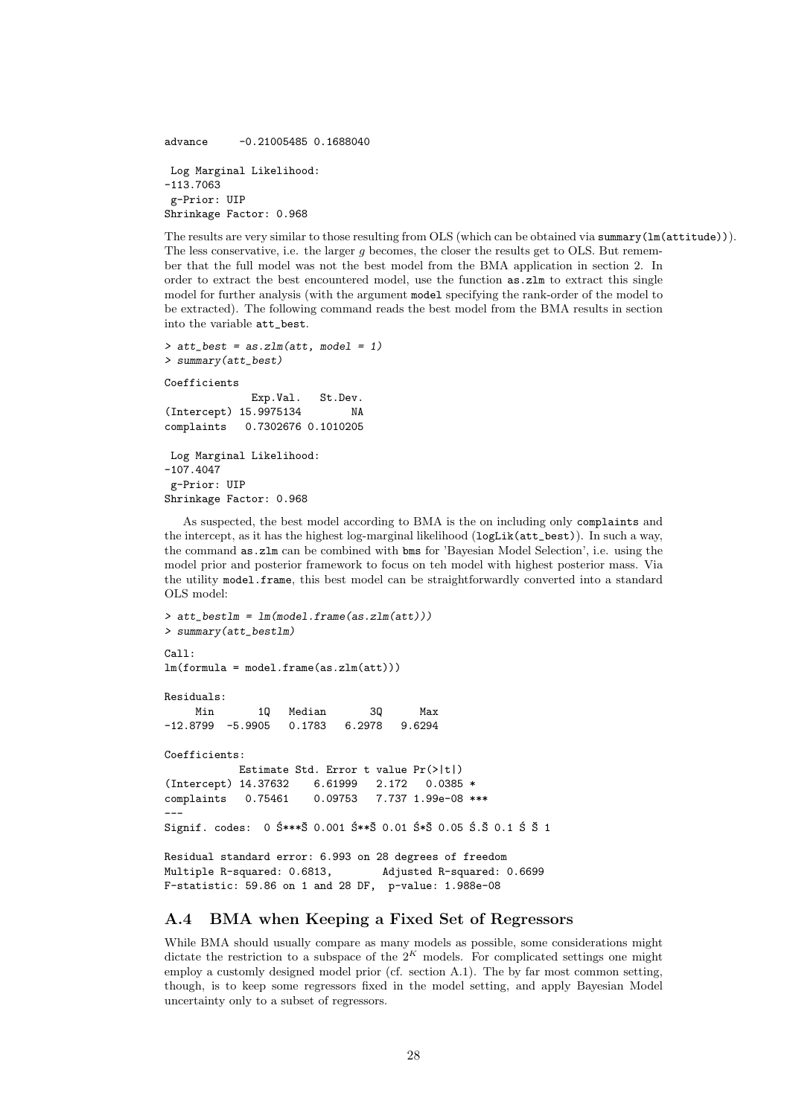advance -0.21005485 0.1688040 Log Marginal Likelihood: -113.7063 g-Prior: UIP Shrinkage Factor: 0.968

The results are very similar to those resulting from OLS (which can be obtained via summary(lm(attitude))). The less conservative, i.e. the larger  $g$  becomes, the closer the results get to OLS. But remember that the full model was not the best model from the BMA application in section 2. In order to extract the best encountered model, use the function as.zlm to extract this single model for further analysis (with the argument model specifying the rank-order of the model to be extracted). The following command reads the best model from the BMA results in section into the variable att\_best.

```
> att_best = as.zlm(att, model = 1)
> summary(att_best)
Coefficients
             Exp.Val. St.Dev.
(Intercept) 15.9975134 NA
complaints 0.7302676 0.1010205
Log Marginal Likelihood:
-107.4047
 g-Prior: UIP
Shrinkage Factor: 0.968
```
As suspected, the best model according to BMA is the on including only complaints and the intercept, as it has the highest log-marginal likelihood (logLik(att\_best)). In such a way, the command as.zlm can be combined with bms for 'Bayesian Model Selection', i.e. using the model prior and posterior framework to focus on teh model with highest posterior mass. Via the utility model.frame, this best model can be straightforwardly converted into a standard OLS model:

```
> att_bestlm = lm(model.frame(as.zlm(att)))
> summary(att_bestlm)
Call:
lm(formula = model-frame(as.zlm(at)))Residuals:
    Min 1Q Median 3Q Max
-12.8799 -5.9905 0.1783 6.2978 9.6294
Coefficients:
           Estimate Std. Error t value Pr(>|t|)
(Intercept) 14.37632 6.61999 2.172 0.0385 *
complaints 0.75461 0.09753 7.737 1.99e-08 ***
---
Signif. codes: 0 $***\ 0.001 $**\ 0.01 $*\ 0.05 $.Š 0.1 $ $ 1
Residual standard error: 6.993 on 28 degrees of freedom
Multiple R-squared: 0.6813, Adjusted R-squared: 0.6699
F-statistic: 59.86 on 1 and 28 DF, p-value: 1.988e-08
```
### A.4 BMA when Keeping a Fixed Set of Regressors

While BMA should usually compare as many models as possible, some considerations might dictate the restriction to a subspace of the  $2^K$  models. For complicated settings one might employ a customly designed model prior (cf. section A.1). The by far most common setting, though, is to keep some regressors fixed in the model setting, and apply Bayesian Model uncertainty only to a subset of regressors.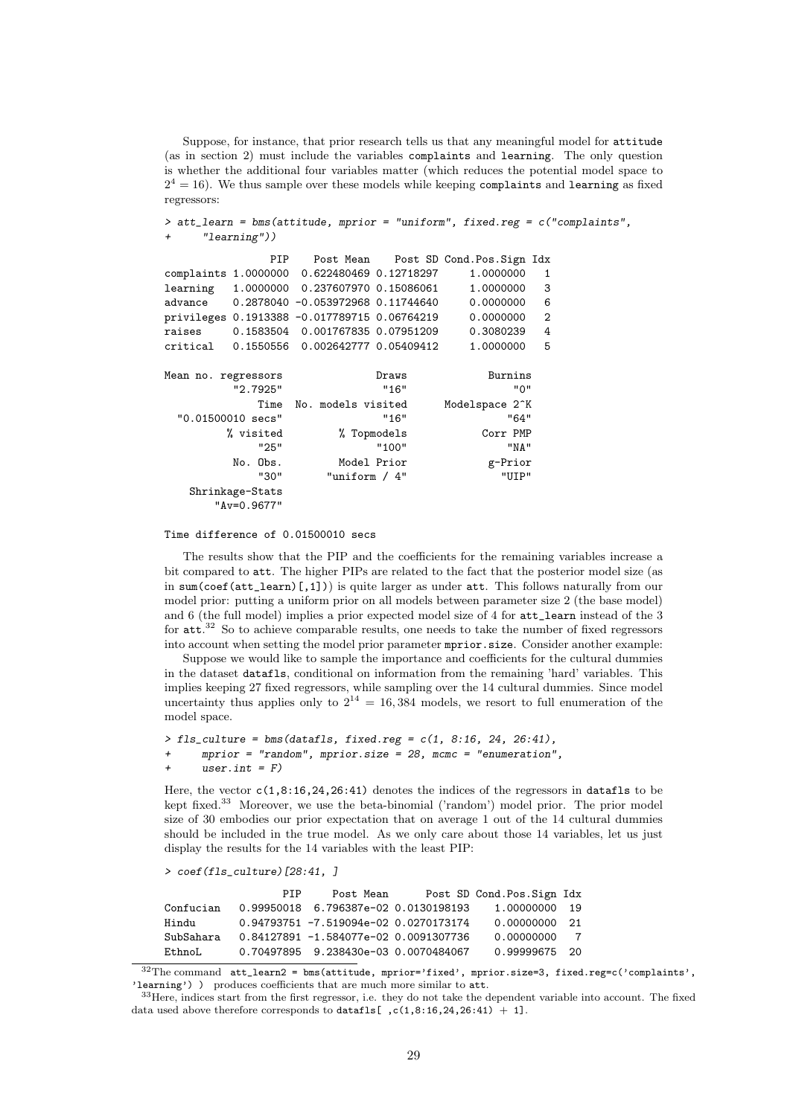Suppose, for instance, that prior research tells us that any meaningful model for attitude (as in section 2) must include the variables complaints and learning. The only question is whether the additional four variables matter (which reduces the potential model space to  $2^4 = 16$ ). We thus sample over these models while keeping complaints and learning as fixed regressors:

```
> att_learn = bms(attitude, mprior = "uniform", fixed.reg = c("complaints","learning"))
             PIP Post Mean Post SD Cond.Pos.Sign Idx
complaints 1.0000000 0.622480469 0.12718297 1.0000000 1
learning 1.0000000 0.237607970 0.15086061 1.0000000 3
advance 0.2878040 -0.053972968 0.11744640 0.0000000 6
privileges 0.1913388 -0.017789715 0.06764219 0.0000000 2
raises 0.1583504 0.001767835 0.07951209 0.3080239 4
critical 0.1550556 0.002642777 0.05409412 1.0000000 5
Mean no. regressors Burning Draws Burnins
        "2.7925" "16" "0"
           Time No. models visited Modelspace 2^K
 "0.01500010 secs" "16" "64"
       % visited % Topmodels Corr PMP <br/> Corr PMP <br/> "25""25" "100" "NA"
        No. Obs. Model Prior g-Prior
            "30" "uniform / 4" "UIP"
   Shrinkage-Stats
      "Av=0.9677"
```
#### Time difference of 0.01500010 secs

The results show that the PIP and the coefficients for the remaining variables increase a bit compared to att. The higher PIPs are related to the fact that the posterior model size (as in sum(coef(att\_learn)[,1])) is quite larger as under att. This follows naturally from our model prior: putting a uniform prior on all models between parameter size 2 (the base model) and 6 (the full model) implies a prior expected model size of 4 for att\_learn instead of the 3 for att.<sup>32</sup> So to achieve comparable results, one needs to take the number of fixed regressors into account when setting the model prior parameter mprior.size. Consider another example:

Suppose we would like to sample the importance and coefficients for the cultural dummies in the dataset datafls, conditional on information from the remaining 'hard' variables. This implies keeping 27 fixed regressors, while sampling over the 14 cultural dummies. Since model uncertainty thus applies only to  $2^{14} = 16,384$  models, we resort to full enumeration of the model space.

```
> fls_culture = bms(datafls, fixed.reg = c(1, 8:16, 24, 26:41),
+ mprior = "random", mprior.size = 28, mcmc = "enumeration",
     user.int = F)
```
Here, the vector  $c(1,8:16,24,26:41)$  denotes the indices of the regressors in datafls to be kept fixed.<sup>33</sup> Moreover, we use the beta-binomial ('random') model prior. The prior model size of 30 embodies our prior expectation that on average 1 out of the 14 cultural dummies should be included in the true model. As we only care about those 14 variables, let us just display the results for the 14 variables with the least PIP:

```
> coef(fls_culture)[28:41, ]
```
PIP Post Mean Post SD Cond.Pos.Sign Idx Confucian 0.99950018 6.796387e-02 0.0130198193 1.00000000 19 Hindu 0.94793751 -7.519094e-02 0.0270173174 0.00000000 21 SubSahara 0.84127891 -1.584077e-02 0.0091307736 0.00000000 7 EthnoL 0.70497895 9.238430e-03 0.0070484067 0.99999675 20

 $32$ The command  $att\_learn2 = bms(attitude, \, \text{mprior} - 'fixed', \, \text{mprior} .size=3, \, fixed. \, \text{reg}=c('complaints', \, \text{mm} - 'times')$ 'learning') ) produces coefficients that are much more similar to att.

 $33$ Here, indices start from the first regressor, i.e. they do not take the dependent variable into account. The fixed data used above therefore corresponds to datafls[ ,c(1,8:16,24,26:41) + 1].